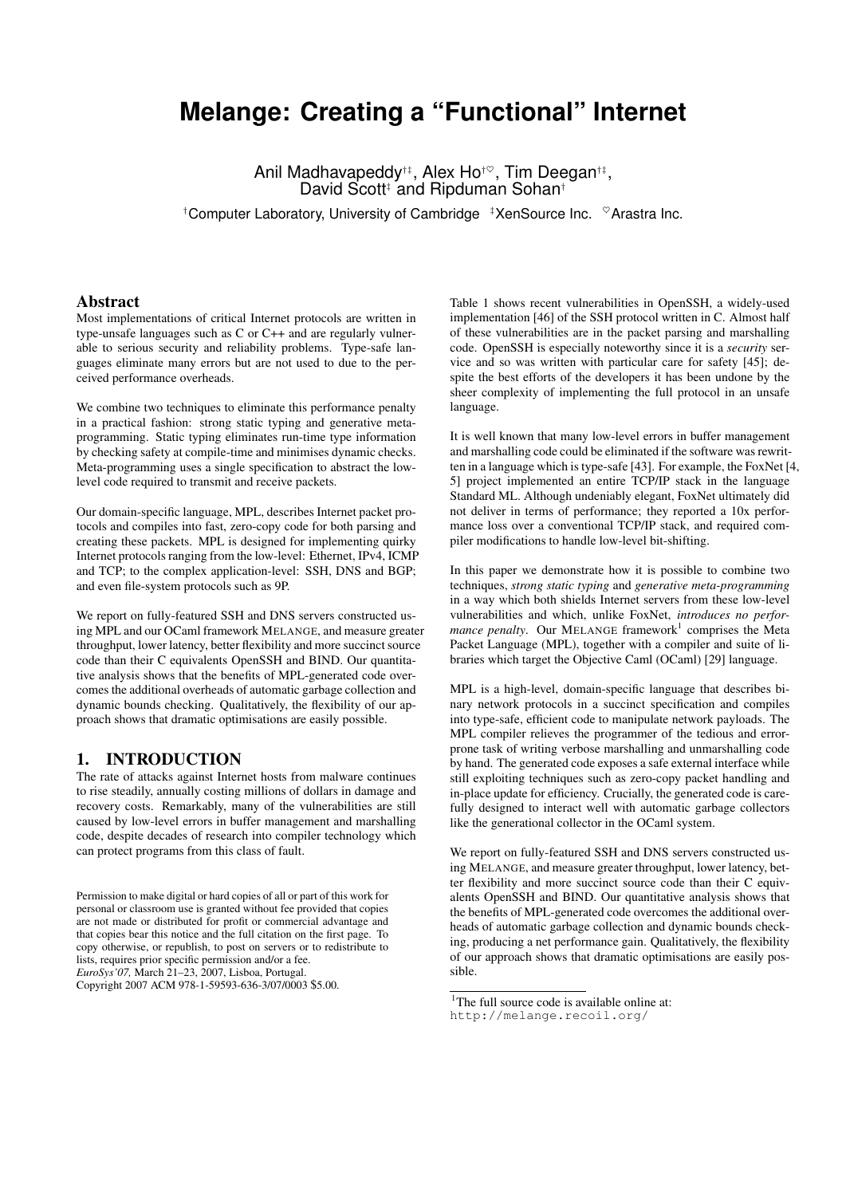# **Melange: Creating a "Functional" Internet**

Anil Madhavapeddy<sup>†‡</sup>, Alex Ho<sup>† $\circ$ </sup>, Tim Deegan<sup>†‡</sup>, David Scott<sup>‡</sup> and Ripduman Sohan<sup>†</sup>

 $\dagger$ Computer Laboratory, University of Cambridge  $\ddagger$ XenSource Inc.  $\degree$ Arastra Inc.

## Abstract

Most implementations of critical Internet protocols are written in type-unsafe languages such as C or C++ and are regularly vulnerable to serious security and reliability problems. Type-safe languages eliminate many errors but are not used to due to the perceived performance overheads.

We combine two techniques to eliminate this performance penalty in a practical fashion: strong static typing and generative metaprogramming. Static typing eliminates run-time type information by checking safety at compile-time and minimises dynamic checks. Meta-programming uses a single specification to abstract the lowlevel code required to transmit and receive packets.

Our domain-specific language, MPL, describes Internet packet protocols and compiles into fast, zero-copy code for both parsing and creating these packets. MPL is designed for implementing quirky Internet protocols ranging from the low-level: Ethernet, IPv4, ICMP and TCP; to the complex application-level: SSH, DNS and BGP; and even file-system protocols such as 9P.

We report on fully-featured SSH and DNS servers constructed using MPL and our OCaml framework MELANGE, and measure greater throughput, lower latency, better flexibility and more succinct source code than their C equivalents OpenSSH and BIND. Our quantitative analysis shows that the benefits of MPL-generated code overcomesthe additional overheads of automatic garbage collection and dynamic bounds checking. Qualitatively, the flexibility of our approach shows that dramatic optimisations are easily possible.

#### 1. INTRODUCTION

The rate of attacks against Internet hosts from malware continues to rise steadily, annually costing millions of dollars in damage and recovery costs. Remarkably, many of the vulnerabilities are still caused by low-level errors in buffer management and marshalling code, despite decades of research into compiler technology which can protect programs from this class of fault.

Permission to make digital or hard copies of all or part of this work for personal or classroom use is granted without fee provided that copies are not made or distributed for profit or commercial advantage and that copies bear this notice and the full citation on the first page. To copy otherwise, or republish, to post on servers or to redistribute to lists, requires prior specific permission and/or a fee. *EuroSys'07,* March 21–23, 2007, Lisboa, Portugal. Copyright 2007 ACM 978-1-59593-636-3/07/0003 \$5.00.

Table [1](#page-1-0) shows recent vulnerabilities in OpenSSH, a widely-used implementation [\[46\]](#page-13-0) of the SSH protocol written in C. Almost half of these vulnerabilities are in the packet parsing and marshalling code. OpenSSH is especially noteworthy since it is a *security* service and so was written with particular care for safety [\[45\]](#page-13-1); despite the best efforts of the developers it has been undone by the sheer complexity of implementing the full protocol in an unsafe language.

It is well known that many low-level errors in buffer management and marshalling code could be eliminated if the software was rewritten in a language which istype-safe [\[43\]](#page-13-2). For example, the FoxNet [\[4,](#page-11-0) [5\]](#page-12-0) project implemented an entire TCP/IP stack in the language Standard ML. Although undeniably elegant, FoxNet ultimately did not deliver in terms of performance; they reported a 10x performance loss over a conventional TCP/IP stack, and required compiler modifications to handle low-level bit-shifting.

In this paper we demonstrate how it is possible to combine two techniques, *strong static typing* and *generative meta-programming* in a way which both shields Internet servers from these low-level vulnerabilities and which, unlike FoxNet, *introduces no performance penalty*. Our MELANGE framework<sup>1</sup> comprises the Meta Packet Language (MPL), together with a compiler and suite of libraries which target the Objective Caml (OCaml) [\[29\]](#page-12-1) language.

MPL is a high-level, domain-specific language that describes binary network protocols in a succinct specification and compiles into type-safe, efficient code to manipulate network payloads. The MPL compiler relieves the programmer of the tedious and errorprone task of writing verbose marshalling and unmarshalling code by hand. The generated code exposes a safe external interface while still exploiting techniques such as zero-copy packet handling and in-place update for efficiency. Crucially, the generated code is carefully designed to interact well with automatic garbage collectors like the generational collector in the OCaml system.

We report on fully-featured SSH and DNS servers constructed using MELANGE, and measure greater throughput, lower latency, better flexibility and more succinct source code than their C equivalents OpenSSH and BIND. Our quantitative analysis shows that the benefits of MPL-generated code overcomes the additional overheads of automatic garbage collection and dynamic bounds checking, producing a net performance gain. Qualitatively, the flexibility of our approach shows that dramatic optimisations are easily possible.

<sup>&</sup>lt;sup>1</sup>The full source code is available online at:

<http://melange.recoil.org/>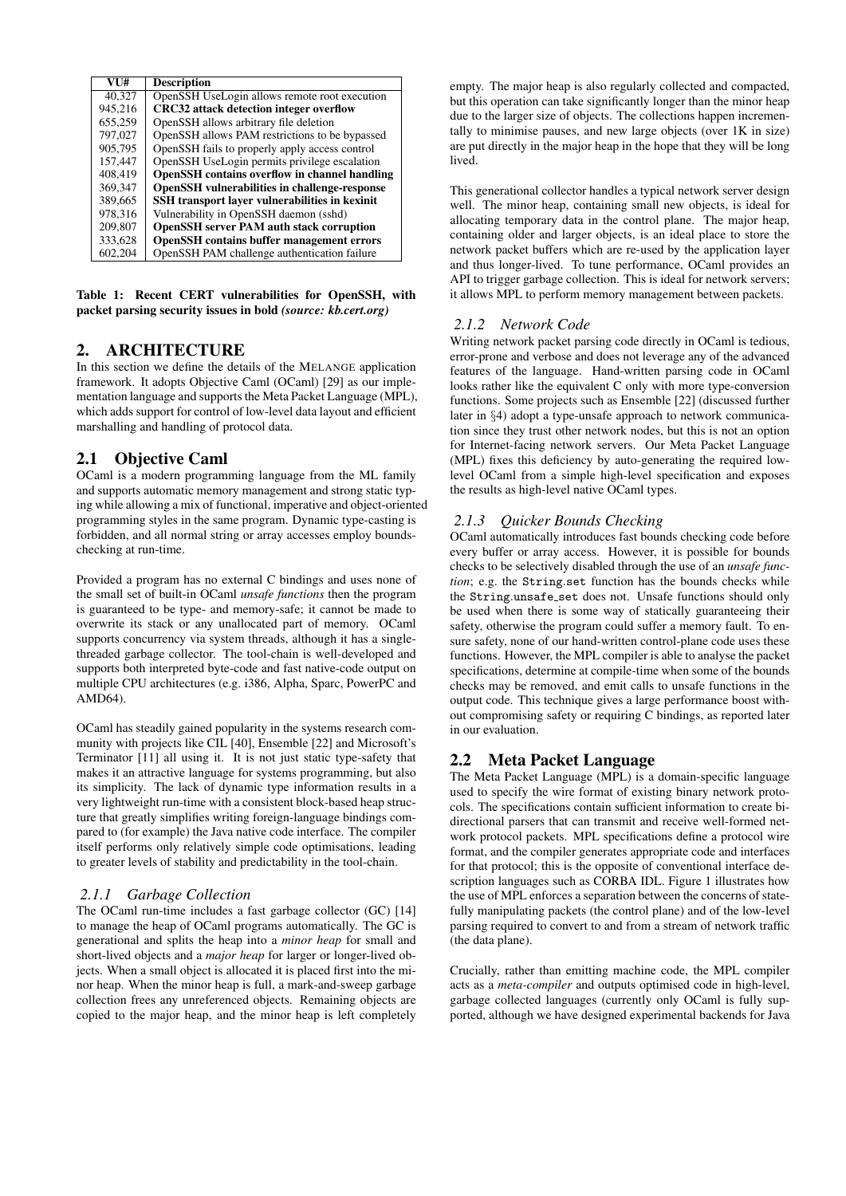| VU#     | <b>Description</b>                                   |
|---------|------------------------------------------------------|
| 40.327  | OpenSSH UseLogin allows remote root execution        |
| 945,216 | <b>CRC32</b> attack detection integer overflow       |
| 655,259 | OpenSSH allows arbitrary file deletion               |
| 797,027 | OpenSSH allows PAM restrictions to be bypassed       |
| 905,795 | OpenSSH fails to properly apply access control       |
| 157,447 | OpenSSH UseLogin permits privilege escalation        |
| 408,419 | <b>OpenSSH</b> contains overflow in channel handling |
| 369,347 | <b>OpenSSH</b> vulnerabilities in challenge-response |
| 389,665 | SSH transport layer vulnerabilities in kexinit       |
| 978,316 | Vulnerability in OpenSSH daemon (sshd)               |
| 209,807 | <b>OpenSSH</b> server PAM auth stack corruption      |
| 333,628 | <b>OpenSSH</b> contains buffer management errors     |
| 602,204 | OpenSSH PAM challenge authentication failure         |

<span id="page-1-0"></span>Table 1: Recent CERT vulnerabilities for OpenSSH, with packet parsing security issues in bold *(source: kb.cert.org)*

# 2. ARCHITECTURE

In this section we define the details of the MELANGE application framework. It adopts Objective Caml (OCaml) [\[29\]](#page-12-1) as our implementation language and supports the Meta Packet Language (MPL), which adds support for control of low-level data layout and efficient marshalling and handling of protocol data.

# 2.1 Objective Caml

OCaml is a modern programming language from the ML family and supports automatic memory management and strong static typing while allowing a mix of functional, imperative and object-oriented programming styles in the same program. Dynamic type-casting is forbidden, and all normal string or array accesses employ boundschecking at run-time.

Provided a program has no external C bindings and uses none of the small set of built-in OCaml *unsafe functions* then the program is guaranteed to be type- and memory-safe; it cannot be made to overwrite its stack or any unallocated part of memory. OCaml supports concurrency via system threads, although it has a singlethreaded garbage collector. The tool-chain is well-developed and supports both interpreted byte-code and fast native-code output on multiple CPU architectures (e.g. i386, Alpha, Sparc, PowerPC and AMD64).

OCaml has steadily gained popularity in the systems research community with projects like CIL [\[40\]](#page-13-3), Ensemble [\[22\]](#page-12-2) and Microsoft's Terminator [\[11\]](#page-12-3) all using it. It is not just static type-safety that makes it an attractive language for systems programming, but also its simplicity. The lack of dynamic type information results in a very lightweight run-time with a consistent block-based heap structure that greatly simplifies writing foreign-language bindings compared to (for example) the Java native code interface. The compiler itself performs only relatively simple code optimisations, leading to greater levels of stability and predictability in the tool-chain.

# *2.1.1 Garbage Collection*

The OCaml run-time includes a fast garbage collector (GC) [\[14\]](#page-12-4) to manage the heap of OCaml programs automatically. The GC is generational and splits the heap into a *minor heap* for small and short-lived objects and a *major heap* for larger or longer-lived objects. When a small object is allocated it is placed first into the minor heap. When the minor heap is full, a mark-and-sweep garbage collection frees any unreferenced objects. Remaining objects are copied to the major heap, and the minor heap is left completely empty. The major heap is also regularly collected and compacted, but this operation can take significantly longer than the minor heap due to the larger size of objects. The collections happen incrementally to minimise pauses, and new large objects (over 1K in size) are put directly in the major heap in the hope that they will be long lived.

This generational collector handles a typical network server design well. The minor heap, containing small new objects, is ideal for allocating temporary data in the control plane. The major heap, containing older and larger objects, is an ideal place to store the network packet buffers which are re-used by the application layer and thus longer-lived. To tune performance, OCaml provides an API to trigger garbage collection. This is ideal for network servers; it allows MPL to perform memory management between packets.

# *2.1.2 Network Code*

Writing network packet parsing code directly in OCaml is tedious, error-prone and verbose and does not leverage any of the advanced features of the language. Hand-written parsing code in OCaml looks rather like the equivalent C only with more type-conversion functions. Some projects such as Ensemble [\[22\]](#page-12-2) (discussed further later in §[4\)](#page-10-0) adopt a type-unsafe approach to network communication since they trust other network nodes, but this is not an option for Internet-facing network servers. Our Meta Packet Language (MPL) fixes this deficiency by auto-generating the required lowlevel OCaml from a simple high-level specification and exposes the results as high-level native OCaml types.

# *2.1.3 Quicker Bounds Checking*

OCaml automatically introduces fast bounds checking code before every buffer or array access. However, it is possible for bounds checks to be selectively disabled through the use of an *unsafe function*; e.g. the String.set function has the bounds checks while the String.unsafe set does not. Unsafe functions should only be used when there is some way of statically guaranteeing their safety, otherwise the program could suffer a memory fault. To ensure safety, none of our hand-written control-plane code uses these functions. However, the MPL compiler is able to analyse the packet specifications, determine at compile-time when some of the bounds checks may be removed, and emit calls to unsafe functions in the output code. This technique gives a large performance boost without compromising safety or requiring C bindings, as reported later in our evaluation.

# 2.2 Meta Packet Language

The Meta Packet Language (MPL) is a domain-specific language used to specify the wire format of existing binary network protocols. The specifications contain sufficient information to create bidirectional parsers that can transmit and receive well-formed network protocol packets. MPL specifications define a protocol wire format, and the compiler generates appropriate code and interfaces for that protocol; this is the opposite of conventional interface de-scription languages such as CORBA IDL. Figure [1](#page-2-0) illustrates how the use of MPL enforces a separation between the concerns of statefully manipulating packets (the control plane) and of the low-level parsing required to convert to and from a stream of network traffic (the data plane).

Crucially, rather than emitting machine code, the MPL compiler acts as a *meta-compiler* and outputs optimised code in high-level, garbage collected languages (currently only OCaml is fully supported, although we have designed experimental backends for Java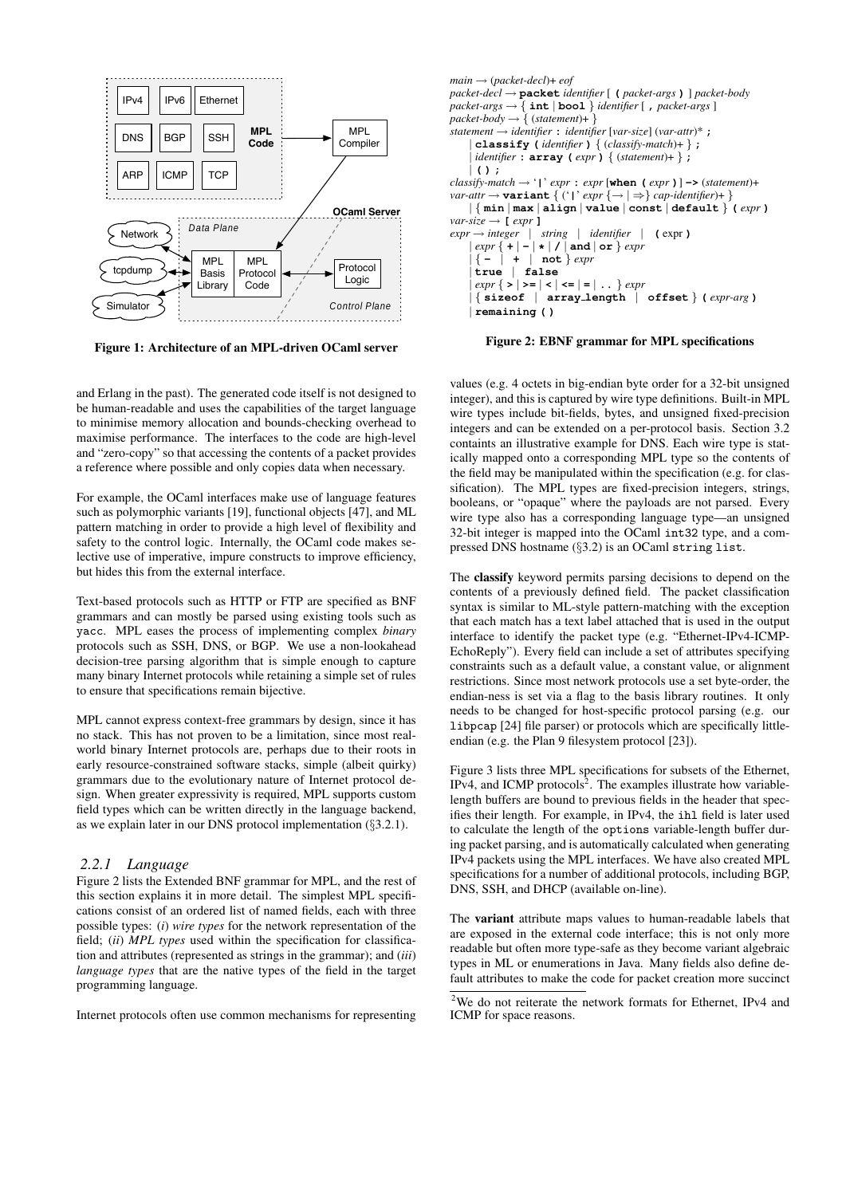

<span id="page-2-0"></span>Figure 1: Architecture of an MPL-driven OCaml server

and Erlang in the past). The generated code itself is not designed to be human-readable and uses the capabilities of the target language to minimise memory allocation and bounds-checking overhead to maximise performance. The interfaces to the code are high-level and "zero-copy" so that accessing the contents of a packet provides a reference where possible and only copies data when necessary.

For example, the OCaml interfaces make use of language features such as polymorphic variants [\[19\]](#page-12-5), functional objects [\[47\]](#page-13-4), and ML pattern matching in order to provide a high level of flexibility and safety to the control logic. Internally, the OCaml code makes selective use of imperative, impure constructs to improve efficiency, but hides this from the external interface.

Text-based protocols such as HTTP or FTP are specified as BNF grammars and can mostly be parsed using existing tools such as yacc. MPL eases the process of implementing complex *binary* protocols such as SSH, DNS, or BGP. We use a non-lookahead decision-tree parsing algorithm that is simple enough to capture many binary Internet protocols while retaining a simple set of rules to ensure that specifications remain bijective.

MPL cannot express context-free grammars by design, since it has no stack. This has not proven to be a limitation, since most realworld binary Internet protocols are, perhaps due to their roots in early resource-constrained software stacks, simple (albeit quirky) grammars due to the evolutionary nature of Internet protocol design. When greater expressivity is required, MPL supports custom field types which can be written directly in the language backend, as we explain later in our DNS protocol implementation (§[3.2.1\)](#page-7-0).

#### *2.2.1 Language*

Figure 2 lists the Extended BNF grammar for MPL, and the rest of this section explains it in more detail. The simplest MPL specifications consist of an ordered list of named fields, each with three possible types: (*i*) *wire types* for the network representation of the field; (*ii*) *MPL types* used within the specification for classification and attributes (represented as strings in the grammar); and (*iii*) *language types* that are the native types of the field in the target programming language.

Internet protocols often use common mechanisms for representing

```
main \rightarrow (packet-decl) + eofpacket-decl → packet identifier [ ( packet-args ) ] packet-body
packet-args \rightarrow \{ \text{int} \mid \text{bool} \} identifier [, packet-args ]
package<sub>body</sub> \rightarrow \{ (statement)<sub>+</sub> \}\mathbf{a} statement \rightarrow identifier : identifier [var-size] (var-attr)* ;
      | classify ( identifier ) { (classify-match)+ } ;
      | identifier : array ( expr ) { (statement)+ } ;
      | ( ) ;
classify-match → '|' expr : expr [when ( expr )] -> (statement)+
var-attr \rightarrow \textbf{variant } \{ (' | ' expr \{ \rightarrow | \Rightarrow \} \text{ } cap\text{-}identity \}| { min | max | align | value | const | default } ( expr )
var\text{-}size \rightarrow \text{[}expr\text{]}expr \rightarrow integer | string | identifier | ( expr )
     | expr { + | - | * | / | and | or } expr
     | { - | + | not } expr
      | true | false
      \exp r \{ > | > = | < | < = | = | \dots \} \exp r| { sizeof | array length | offset } ( expr-arg )
     | remaining ( )
```
#### Figure 2: EBNF grammar for MPL specifications

values (e.g. 4 octets in big-endian byte order for a 32-bit unsigned integer), and this is captured by wire type definitions. Built-in MPL wire types include bit-fields, bytes, and unsigned fixed-precision integers and can be extended on a per-protocol basis. Section [3.2](#page-7-1) containts an illustrative example for DNS. Each wire type is statically mapped onto a corresponding MPL type so the contents of the field may be manipulated within the specification (e.g. for classification). The MPL types are fixed-precision integers, strings, booleans, or "opaque" where the payloads are not parsed. Every wire type also has a corresponding language type—an unsigned 32-bit integer is mapped into the OCaml int32 type, and a compressed DNS hostname (§[3.2\)](#page-7-1) is an OCaml string list.

The classify keyword permits parsing decisions to depend on the contents of a previously defined field. The packet classification syntax is similar to ML-style pattern-matching with the exception that each match has a text label attached that is used in the output interface to identify the packet type (e.g. "Ethernet-IPv4-ICMP-EchoReply"). Every field can include a set of attributes specifying constraints such as a default value, a constant value, or alignment restrictions. Since most network protocols use a set byte-order, the endian-ness is set via a flag to the basis library routines. It only needs to be changed for host-specific protocol parsing (e.g. our libpcap [\[24\]](#page-12-6) file parser) or protocols which are specifically littleendian (e.g. the Plan 9 filesystem protocol [\[23\]](#page-12-7)).

Figure [3](#page-3-0) lists three MPL specifications for subsets of the Ethernet, IPv4, and ICMP protocols $<sup>2</sup>$ . The examples illustrate how variable-</sup> length buffers are bound to previous fields in the header that specifies their length. For example, in IPv4, the ihl field is later used to calculate the length of the options variable-length buffer during packet parsing, and is automatically calculated when generating IPv4 packets using the MPL interfaces. We have also created MPL specifications for a number of additional protocols, including BGP, DNS, SSH, and DHCP (available on-line).

The variant attribute maps values to human-readable labels that are exposed in the external code interface; this is not only more readable but often more type-safe as they become variant algebraic types in ML or enumerations in Java. Many fields also define default attributes to make the code for packet creation more succinct

<sup>&</sup>lt;sup>2</sup>We do not reiterate the network formats for Ethernet, IPv4 and ICMP for space reasons.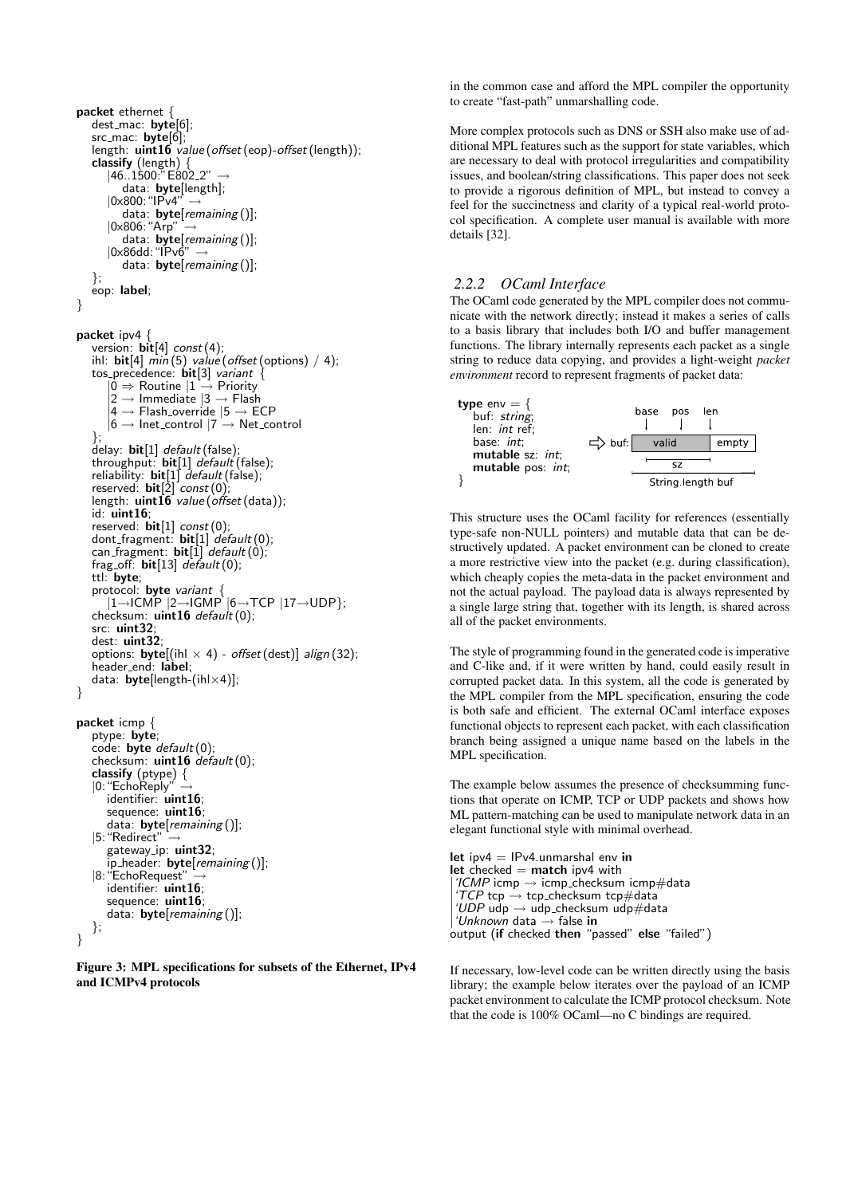```
packet ethernet {
   dest_mac: byte[6];<br>src_mac: byte[6];
   length: uint16 value (offset (eop)-offset (length));
   classify (length) \{<br>|46..1500." E802.2"data: byte[length];|0x800: "IPv4"
          data: byte[remaining()];
      |0x806:"Arp" →
          data: byte[remaining()];
      |0x86dd:"IPv6" →
          data: byte[remaining()];
   };
   eop: label;
```

```
}
```

```
packet ipv4 {
   version: \textbf{bit}[4] const (4);
   ihl: \text{bit}[4] min(5) value (offset (options) / 4);
    tos precedence: \textbf{bit}[3] variant {
       |0 \Rightarrow Routine |1 \rightarrow Priority
       |2 \rightarrow Immediate |3 \rightarrow Flash
       |4\>\rightarrow Flash_override |5\>\rightarrow ECP
       |6 \rightarrow Inet_control |7 \rightarrow Net_control
    };<br>delay:  bit[1]  default(false);
    throughput: bit[1] default (false);
    reliability: bit[1] default (false);
   reserved: bit[2] const (0)
   length: uint16 value (offset (data));
   id: uint16:
    reserved: \mathbf{bit}[1] const (0);
    dont_fragment: bit[1] default (0);
   can fragment: bit[1] default (0);
   frag_off: \textbf{bit}[13] default (0);
   ttl: byte;
   protocol: byte variant {
       |1\rightarrow |CMP |2\rightarrow |GMP |6\rightarrowTCP |17\rightarrowUDP};
   checksum: uint16 default (0);
   src: uint32
   dest: uint32;
   options: byte[(ihl \times 4) - offset (dest)] align (32);
   header end: label;
   data: byte[length-(ihl×4)];
}
packet icmp {<br>ptype: byte;
```

```
code: byte default (0);checksum: uint16 default (0);
   classify (ptype) {
   |0: "Echo\mathsf{Reply}" \rightarrowidentifier: uint16;
      sequence: uint16;
      data: byte[remaining()];
   |5: "Redirect"
      gateway ip: uint32;
       \mathsf{ip}\_\mathsf{header:}\; \mathsf{byte}[\mathit{remaining}()];|8: "EchoRequest"
      identifier: uint16;
      sequence: uint16;
      data: byte[remaining()];
   };
}
```
<span id="page-3-0"></span>Figure 3: MPL specifications for subsets of the Ethernet, IPv4 and ICMPv4 protocols

in the common case and afford the MPL compiler the opportunity to create "fast-path" unmarshalling code.

More complex protocols such as DNS or SSH also make use of additional MPL features such as the support for state variables, which are necessary to deal with protocol irregularities and compatibility issues, and boolean/string classifications. This paper does not seek to provide a rigorous definition of MPL, but instead to convey a feel for the succinctness and clarity of a typical real-world protocol specification. A complete user manual is available with more details [\[32\]](#page-12-8).

#### *2.2.2 OCaml Interface*

The OCaml code generated by the MPL compiler does not communicate with the network directly; instead it makes a series of calls to a basis library that includes both I/O and buffer management functions. The library internally represents each packet as a single string to reduce data copying, and provides a light-weight *packet environment* record to represent fragments of packet data:



This structure uses the OCaml facility for references (essentially type-safe non-NULL pointers) and mutable data that can be destructively updated. A packet environment can be cloned to create a more restrictive view into the packet (e.g. during classification), which cheaply copies the meta-data in the packet environment and not the actual payload. The payload data is always represented by a single large string that, together with its length, is shared across all of the packet environments.

The style of programming found in the generated code is imperative and C-like and, if it were written by hand, could easily result in corrupted packet data. In this system, all the code is generated by the MPL compiler from the MPL specification, ensuring the code is both safe and efficient. The external OCaml interface exposes functional objects to represent each packet, with each classification branch being assigned a unique name based on the labels in the MPL specification.

The example below assumes the presence of checksumming functions that operate on ICMP, TCP or UDP packets and shows how ML pattern-matching can be used to manipulate network data in an elegant functional style with minimal overhead.

let ipv $4 =$  IPv4.unmarshal env in  $let$  checked  $=$  match ipv4 with  $'ICMP$  icmp  $\rightarrow$  icmp\_checksum icmp#data 'TCP tcp  $\rightarrow$  tcp\_checksum tcp#data  $'U\!D\!P$  udp  $\rightarrow$  udp\_checksum udp $\#$ data 'Unknown data  $\rightarrow$  false in output (if checked then "passed" else "failed")

If necessary, low-level code can be written directly using the basis library; the example below iterates over the payload of an ICMP packet environment to calculate the ICMP protocol checksum. Note that the code is 100% OCaml—no C bindings are required.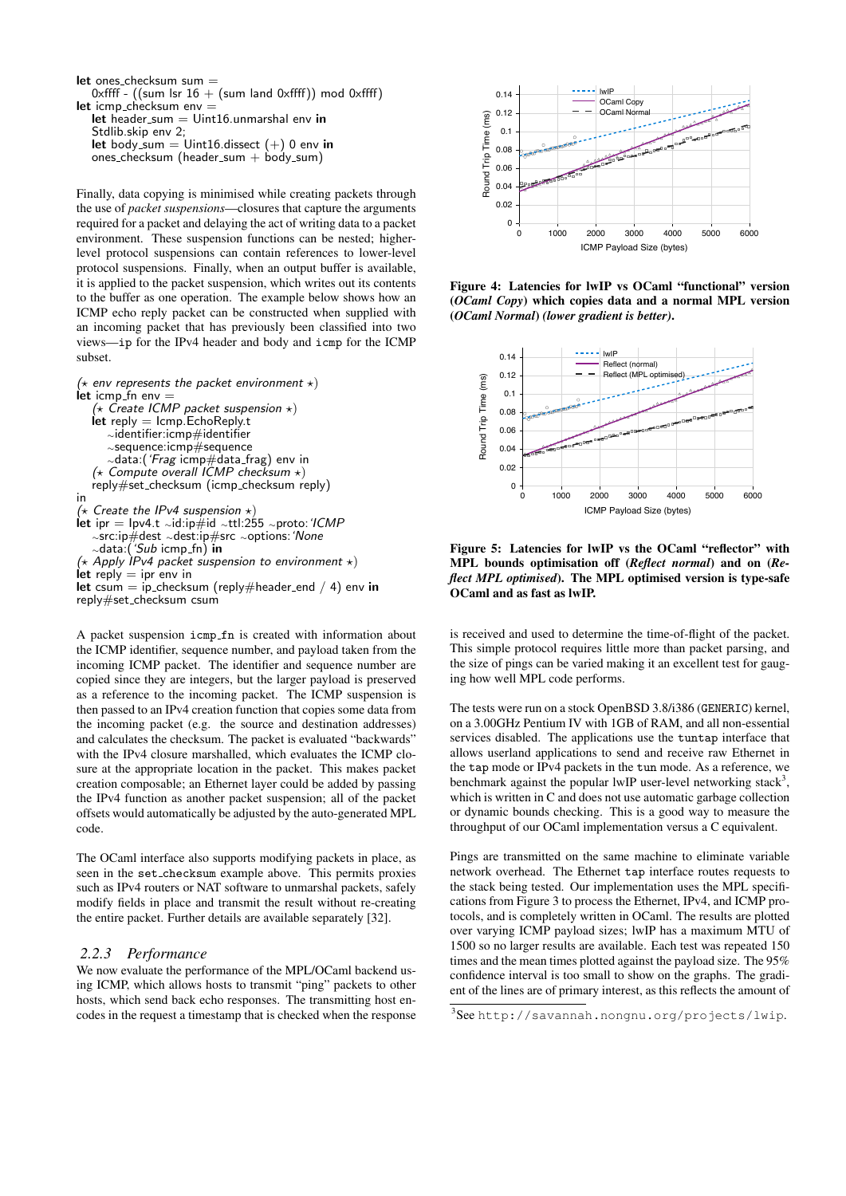```
let ones checksum sum = 0xffff - ((sum lsr 16 + (sum land 0xffff)) mod 0xffff)
let icmp checksum env =
   let header_sum = Uint16.unmarshal env in
   Stdlib.skip env 2;
   let body sum = Uint16.dissect (+) 0 env in ones checksum (header sum + body sum)
```
Finally, data copying is minimised while creating packets through the use of *packet suspensions*—closures that capture the arguments required for a packet and delaying the act of writing data to a packet environment. These suspension functions can be nested; higherlevel protocol suspensions can contain references to lower-level protocol suspensions. Finally, when an output buffer is available, it is applied to the packet suspension, which writes out its contents to the buffer as one operation. The example below shows how an ICMP echo reply packet can be constructed when supplied with an incoming packet that has previously been classified into two views—ip for the IPv4 header and body and icmp for the ICMP subset.

 $(\star$  env represents the packet environment  $\star$ ) let icmp\_fn env  $=$  $\star$  Create ICMP packet suspension  $\star)$  $let$  reply  $=$  Icmp. EchoReply.t <sup>∼</sup>identifier:icmp#identifier <sup>∼</sup>sequence:icmp#sequence <sup>∼</sup>data:('Frag icmp#data frag) env in  $(\star$  Compute overall ICMP checksum  $\star$ ) reply#set checksum (icmp checksum reply) in  $\kappa$  Create the IPv4 suspension  $\star$ let ipr = Ipv4.t <sup>∼</sup>id:ip#id <sup>∼</sup>ttl:255 <sup>∼</sup>proto:'ICMP <sup>∼</sup>src:ip#dest <sup>∼</sup>dest:ip#src <sup>∼</sup>options:'None <sup>∼</sup>data:('Sub icmp fn) in  $(\star$  Apply IPv4 packet suspension to environment  $\star$ ) **let** reply  $=$  ipr env in

let csum = ip\_checksum (reply#header\_end  $/$  4) env in reply#set checksum csum

A packet suspension icmp fn is created with information about the ICMP identifier, sequence number, and payload taken from the incoming ICMP packet. The identifier and sequence number are copied since they are integers, but the larger payload is preserved as a reference to the incoming packet. The ICMP suspension is then passed to an IPv4 creation function that copies some data from the incoming packet (e.g. the source and destination addresses) and calculates the checksum. The packet is evaluated "backwards" with the IPv4 closure marshalled, which evaluates the ICMP closure at the appropriate location in the packet. This makes packet creation composable; an Ethernet layer could be added by passing the IPv4 function as another packet suspension; all of the packet offsets would automatically be adjusted by the auto-generated MPL code.

The OCaml interface also supports modifying packets in place, as seen in the set checksum example above. This permits proxies such as IPv4 routers or NAT software to unmarshal packets, safely modify fields in place and transmit the result without re-creating the entire packet. Further details are available separately [\[32\]](#page-12-8).

#### *2.2.3 Performance*

We now evaluate the performance of the MPL/OCaml backend using ICMP, which allows hosts to transmit "ping" packets to other hosts, which send back echo responses. The transmitting host encodes in the request a timestamp that is checked when the response



<span id="page-4-0"></span>Figure 4: Latencies for lwIP vs OCaml "functional" version (*OCaml Copy*) which copies data and a normal MPL version (*OCaml Normal*) *(lower gradient is better)*.



<span id="page-4-1"></span>Figure 5: Latencies for lwIP vs the OCaml "reflector" with MPL bounds optimisation off (*Reflect normal*) and on (*Reflect MPL optimised*). The MPL optimised version is type-safe OCaml and as fast as lwIP.

is received and used to determine the time-of-flight of the packet. This simple protocol requires little more than packet parsing, and the size of pings can be varied making it an excellent test for gauging how well MPL code performs.

The tests were run on a stock OpenBSD 3.8/i386 (GENERIC) kernel, on a 3.00GHz Pentium IV with 1GB of RAM, and all non-essential services disabled. The applications use the tuntap interface that allows userland applications to send and receive raw Ethernet in the tap mode or IPv4 packets in the tun mode. As a reference, we benchmark against the popular lwIP user-level networking stack<sup>3</sup>, which is written in C and does not use automatic garbage collection or dynamic bounds checking. This is a good way to measure the throughput of our OCaml implementation versus a C equivalent.

Pings are transmitted on the same machine to eliminate variable network overhead. The Ethernet tap interface routes requests to the stack being tested. Our implementation uses the MPL specifications from Figure [3](#page-3-0) to process the Ethernet, IPv4, and ICMP protocols, and is completely written in OCaml. The results are plotted over varying ICMP payload sizes; lwIP has a maximum MTU of 1500 so no larger results are available. Each test was repeated 150 times and the mean times plotted against the payload size. The 95% confidence interval is too small to show on the graphs. The gradient of the lines are of primary interest, as this reflects the amount of

<sup>3</sup> See <http://savannah.nongnu.org/projects/lwip>.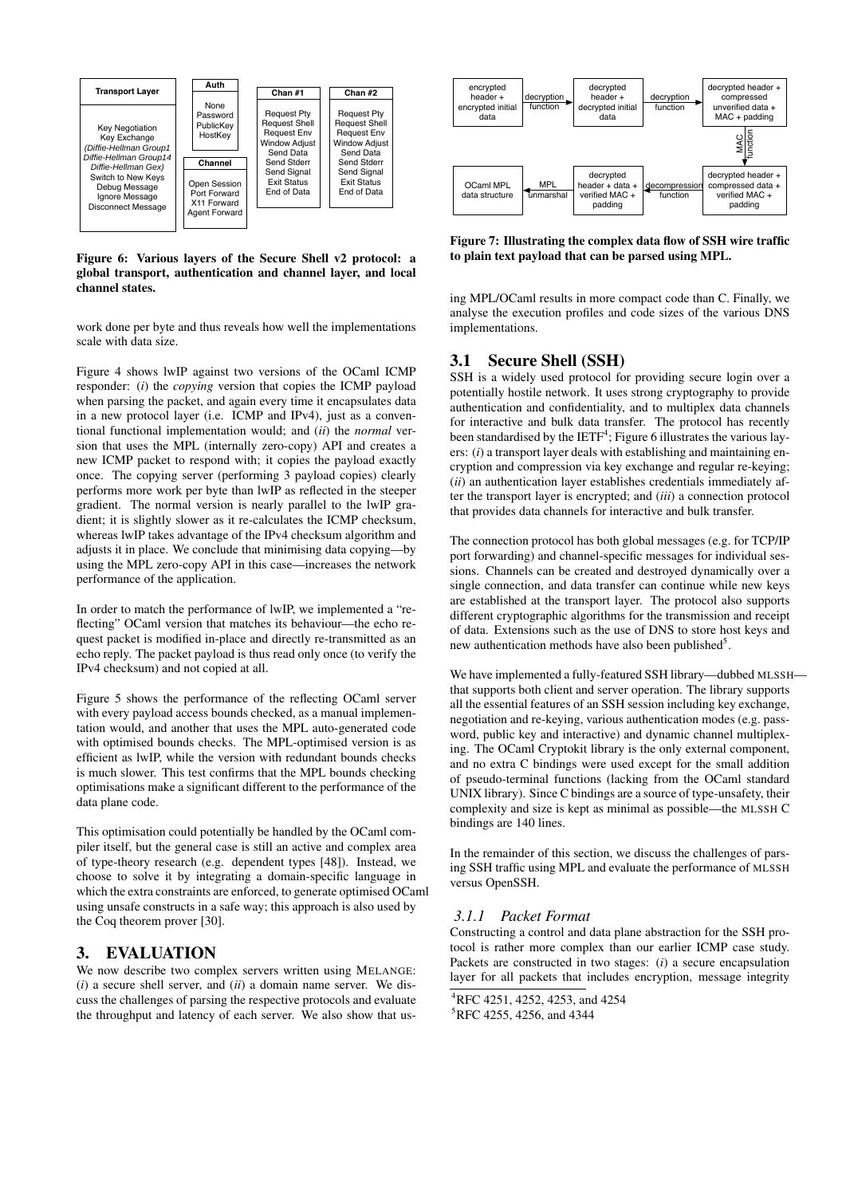

Figure 6: Various layers of the Secure Shell v2 protocol: a global transport, authentication and channel layer, and local channel states.

work done per byte and thus reveals how well the implementations scale with data size.

Figure [4](#page-4-0) shows lwIP against two versions of the OCaml ICMP responder: (*i*) the *copying* version that copies the ICMP payload when parsing the packet, and again every time it encapsulates data in a new protocol layer (i.e. ICMP and IPv4), just as a conventional functional implementation would; and (*ii*) the *normal* version that uses the MPL (internally zero-copy) API and creates a new ICMP packet to respond with; it copies the payload exactly once. The copying server (performing 3 payload copies) clearly performs more work per byte than lwIP as reflected in the steeper gradient. The normal version is nearly parallel to the lwIP gradient; it is slightly slower as it re-calculates the ICMP checksum, whereas lwIP takes advantage of the IPv4 checksum algorithm and adjusts it in place. We conclude that minimising data copying—by using the MPL zero-copy API in this case—increases the network performance of the application.

In order to match the performance of lwIP, we implemented a "reflecting" OCaml version that matches its behaviour—the echo request packet is modified in-place and directly re-transmitted as an echo reply. The packet payload is thus read only once (to verify the IPv4 checksum) and not copied at all.

Figure [5](#page-4-1) shows the performance of the reflecting OCaml server with every payload access bounds checked, as a manual implementation would, and another that uses the MPL auto-generated code with optimised bounds checks. The MPL-optimised version is as efficient as lwIP, while the version with redundant bounds checks is much slower. This test confirms that the MPL bounds checking optimisations make a significant different to the performance of the data plane code.

This optimisation could potentially be handled by the OCaml compiler itself, but the general case is still an active and complex area of type-theory research (e.g. dependent types [\[48\]](#page-13-5)). Instead, we choose to solve it by integrating a domain-specific language in which the extra constraints are enforced, to generate optimised OCaml using unsafe constructs in a safe way; this approach is also used by the Coq theorem prover [\[30\]](#page-12-9).

# 3. EVALUATION

We now describe two complex servers written using MELANGE: (*i*) a secure shell server, and (*ii*) a domain name server. We discuss the challenges of parsing the respective protocols and evaluate the throughput and latency of each server. We also show that us-



<span id="page-5-0"></span>Figure 7: Illustrating the complex data flow of SSH wire traffic to plain text payload that can be parsed using MPL.

ing MPL/OCaml results in more compact code than C. Finally, we analyse the execution profiles and code sizes of the various DNS implementations.

## 3.1 Secure Shell (SSH)

SSH is a widely used protocol for providing secure login over a potentially hostile network. It uses strong cryptography to provide authentication and confidentiality, and to multiplex data channels for interactive and bulk data transfer. The protocol has recently been standardised by the  $IETF^4$ ; Figure 6 illustrates the various layers: (*i*) a transport layer deals with establishing and maintaining encryption and compression via key exchange and regular re-keying; (*ii*) an authentication layer establishes credentials immediately after the transport layer is encrypted; and (*iii*) a connection protocol that provides data channels for interactive and bulk transfer.

The connection protocol has both global messages (e.g. for TCP/IP port forwarding) and channel-specific messages for individual sessions. Channels can be created and destroyed dynamically over a single connection, and data transfer can continue while new keys are established at the transport layer. The protocol also supports different cryptographic algorithms for the transmission and receipt of data. Extensions such as the use of DNS to store host keys and new authentication methods have also been published<sup>5</sup>.

We have implemented a fully-featured SSH library—dubbed MLSSH that supports both client and server operation. The library supports all the essential features of an SSH session including key exchange, negotiation and re-keying, various authentication modes (e.g. password, public key and interactive) and dynamic channel multiplexing. The OCaml Cryptokit library is the only external component, and no extra C bindings were used except for the small addition of pseudo-terminal functions (lacking from the OCaml standard UNIX library). Since C bindings are a source of type-unsafety, their complexity and size is kept as minimal as possible—the MLSSH C bindings are 140 lines.

In the remainder of this section, we discuss the challenges of parsing SSH traffic using MPL and evaluate the performance of MLSSH versus OpenSSH.

#### <span id="page-5-1"></span>*3.1.1 Packet Format*

Constructing a control and data plane abstraction for the SSH protocol is rather more complex than our earlier ICMP case study. Packets are constructed in two stages: (*i*) a secure encapsulation layer for all packets that includes encryption, message integrity

<sup>4</sup> RFC 4251, 4252, 4253, and 4254

<sup>&</sup>lt;sup>5</sup>RFC 4255, 4256, and 4344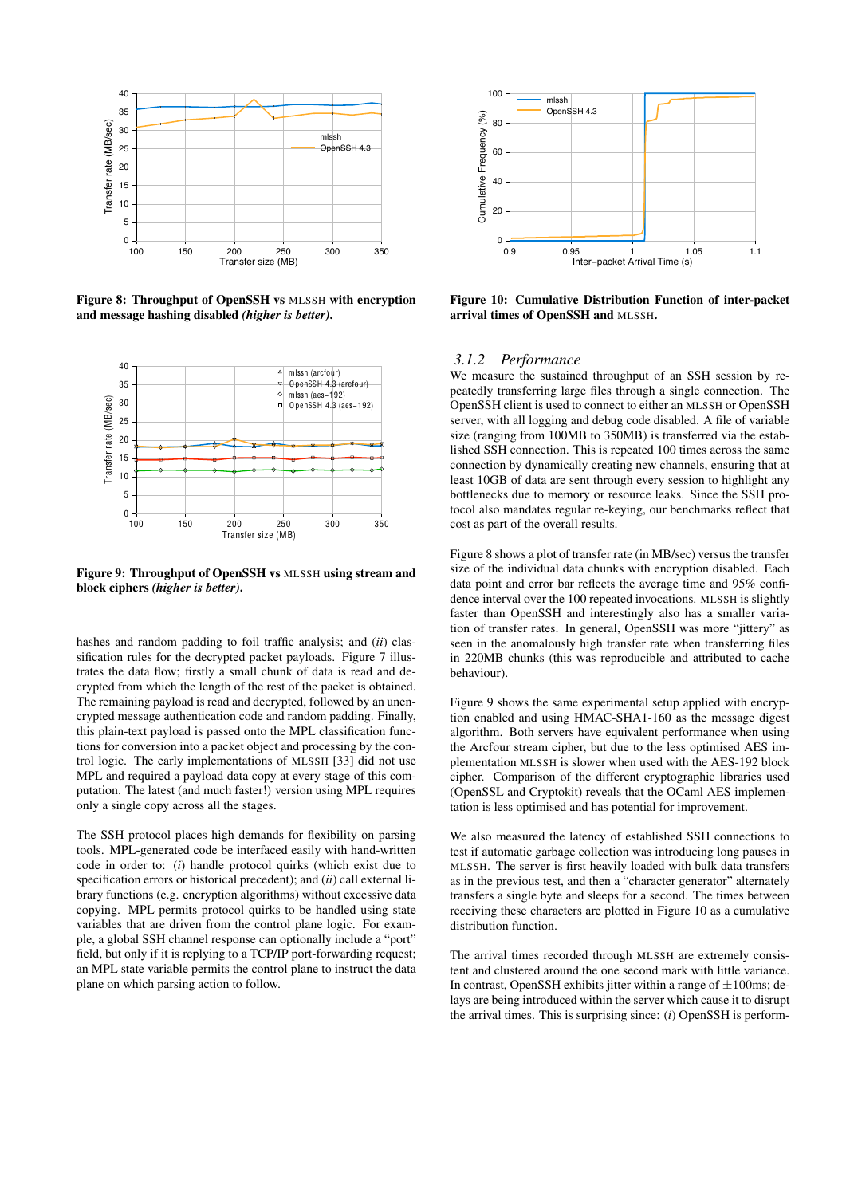

Figure 8: Throughput of OpenSSH vs MLSSH with encryption and message hashing disabled *(higher is better)*.



Figure 9: Throughput of OpenSSH vs MLSSH using stream and block ciphers *(higher is better)*.

hashes and random padding to foil traffic analysis; and (*ii*) classification rules for the decrypted packet payloads. Figure [7](#page-5-0) illustrates the data flow; firstly a small chunk of data is read and decrypted from which the length of the rest of the packet is obtained. The remaining payload is read and decrypted, followed by an unencrypted message authentication code and random padding. Finally, this plain-text payload is passed onto the MPL classification functions for conversion into a packet object and processing by the control logic. The early implementations of MLSSH [\[33\]](#page-12-10) did not use MPL and required a payload data copy at every stage of this computation. The latest (and much faster!) version using MPL requires only a single copy across all the stages.

The SSH protocol places high demands for flexibility on parsing tools. MPL-generated code be interfaced easily with hand-written code in order to: (*i*) handle protocol quirks (which exist due to specification errors or historical precedent); and (*ii*) call external library functions (e.g. encryption algorithms) without excessive data copying. MPL permits protocol quirks to be handled using state variables that are driven from the control plane logic. For example, a global SSH channel response can optionally include a "port" field, but only if it is replying to a TCP/IP port-forwarding request; an MPL state variable permits the control plane to instruct the data plane on which parsing action to follow.



Figure 10: Cumulative Distribution Function of inter-packet arrival times of OpenSSH and MLSSH.

#### *3.1.2 Performance*

We measure the sustained throughput of an SSH session by repeatedly transferring large files through a single connection. The OpenSSH client is used to connect to either an MLSSH or OpenSSH server, with all logging and debug code disabled. A file of variable size (ranging from 100MB to 350MB) is transferred via the established SSH connection. This is repeated 100 times across the same connection by dynamically creating new channels, ensuring that at least 10GB of data are sent through every session to highlight any bottlenecks due to memory or resource leaks. Since the SSH protocol also mandates regular re-keying, our benchmarks reflect that cost as part of the overall results.

Figure 8 shows a plot of transfer rate (in MB/sec) versus the transfer size of the individual data chunks with encryption disabled. Each data point and error bar reflects the average time and 95% confidence interval over the 100 repeated invocations. MLSSH is slightly faster than OpenSSH and interestingly also has a smaller variation of transfer rates. In general, OpenSSH was more "jittery" as seen in the anomalously high transfer rate when transferring files in 220MB chunks (this was reproducible and attributed to cache behaviour).

Figure 9 shows the same experimental setup applied with encryption enabled and using HMAC-SHA1-160 as the message digest algorithm. Both servers have equivalent performance when using the Arcfour stream cipher, but due to the less optimised AES implementation MLSSH is slower when used with the AES-192 block cipher. Comparison of the different cryptographic libraries used (OpenSSL and Cryptokit) reveals that the OCaml AES implementation is less optimised and has potential for improvement.

We also measured the latency of established SSH connections to test if automatic garbage collection was introducing long pauses in MLSSH. The server is first heavily loaded with bulk data transfers as in the previous test, and then a "character generator" alternately transfers a single byte and sleeps for a second. The times between receiving these characters are plotted in Figure 10 as a cumulative distribution function.

The arrival times recorded through MLSSH are extremely consistent and clustered around the one second mark with little variance. In contrast, OpenSSH exhibits jitter within a range of  $\pm 100$ ms; delays are being introduced within the server which cause it to disrupt the arrival times. This is surprising since: (*i*) OpenSSH is perform-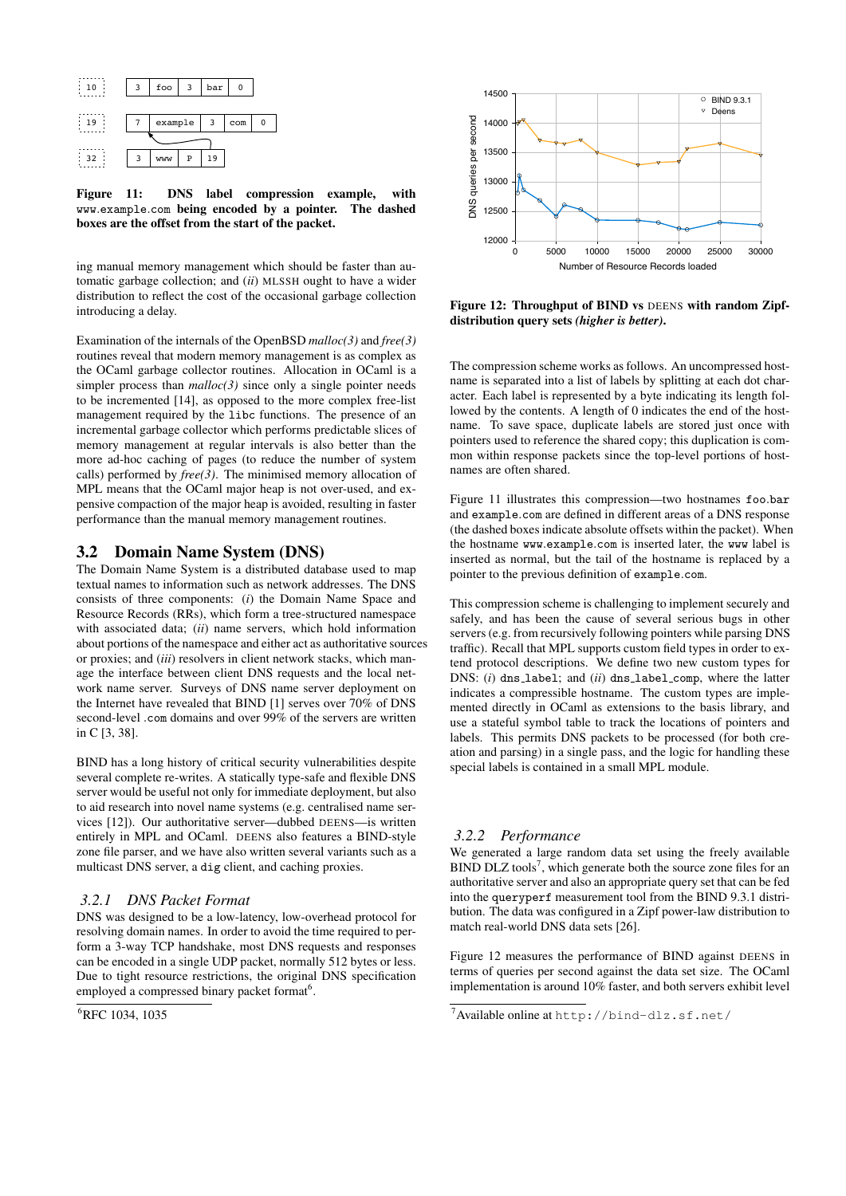

Figure 11: DNS label compression example, with www.example.com being encoded by a pointer. The dashed boxes are the offset from the start of the packet.

ing manual memory management which should be faster than automatic garbage collection; and (*ii*) MLSSH ought to have a wider distribution to reflect the cost of the occasional garbage collection introducing a delay.

Examination of the internals of the OpenBSD *malloc(3)* and *free(3)* routines reveal that modern memory management is as complex as the OCaml garbage collector routines. Allocation in OCaml is a simpler process than *malloc(3)* since only a single pointer needs to be incremented [\[14\]](#page-12-4), as opposed to the more complex free-list management required by the libc functions. The presence of an incremental garbage collector which performs predictable slices of memory management at regular intervals is also better than the more ad-hoc caching of pages (to reduce the number of system calls) performed by *free(3)*. The minimised memory allocation of MPL means that the OCaml major heap is not over-used, and expensive compaction of the major heap is avoided, resulting in faster performance than the manual memory management routines.

## <span id="page-7-1"></span>3.2 Domain Name System (DNS)

The Domain Name System is a distributed database used to map textual names to information such as network addresses. The DNS consists of three components: (*i*) the Domain Name Space and Resource Records (RRs), which form a tree-structured namespace with associated data; (*ii*) name servers, which hold information about portions of the namespace and either act as authoritative sources or proxies; and (*iii*) resolvers in client network stacks, which manage the interface between client DNS requests and the local network name server. Surveys of DNS name server deployment on the Internet have revealed that BIND [\[1\]](#page-11-1) serves over 70% of DNS second-level .com domains and over 99% of the servers are written in C [\[3,](#page-11-2) [38\]](#page-13-6).

BIND has a long history of critical security vulnerabilities despite several complete re-writes. A statically type-safe and flexible DNS server would be useful not only for immediate deployment, but also to aid research into novel name systems (e.g. centralised name services [\[12\]](#page-12-11)). Our authoritative server—dubbed DEENS—is written entirely in MPL and OCaml. DEENS also features a BIND-style zone file parser, and we have also written several variants such as a multicast DNS server, a dig client, and caching proxies.

#### <span id="page-7-0"></span>*3.2.1 DNS Packet Format*

DNS was designed to be a low-latency, low-overhead protocol for resolving domain names. In order to avoid the time required to perform a 3-way TCP handshake, most DNS requests and responses can be encoded in a single UDP packet, normally 512 bytes or less. Due to tight resource restrictions, the original DNS specification employed a compressed binary packet format<sup>6</sup>.

6 RFC 1034, 1035



Figure 12: Throughput of BIND vs DEENS with random Zipfdistribution query sets *(higher is better)*.

The compression scheme works as follows. An uncompressed hostname is separated into a list of labels by splitting at each dot character. Each label is represented by a byte indicating its length followed by the contents. A length of 0 indicates the end of the hostname. To save space, duplicate labels are stored just once with pointers used to reference the shared copy; this duplication is common within response packets since the top-level portions of hostnames are often shared.

Figure 11 illustrates this compression—two hostnames foo.bar and example.com are defined in different areas of a DNS response (the dashed boxesindicate absolute offsets within the packet). When the hostname www.example.com is inserted later, the www label is inserted as normal, but the tail of the hostname is replaced by a pointer to the previous definition of example.com.

This compression scheme is challenging to implement securely and safely, and has been the cause of several serious bugs in other servers(e.g. from recursively following pointers while parsing DNS traffic). Recall that MPL supports custom field types in order to extend protocol descriptions. We define two new custom types for DNS: (*i*) dns label; and (*ii*) dns label comp, where the latter indicates a compressible hostname. The custom types are implemented directly in OCaml as extensions to the basis library, and use a stateful symbol table to track the locations of pointers and labels. This permits DNS packets to be processed (for both creation and parsing) in a single pass, and the logic for handling these special labels is contained in a small MPL module.

#### <span id="page-7-2"></span>*3.2.2 Performance*

We generated a large random data set using the freely available  $\text{BIND}\text{ DLZ}$  tools<sup>7</sup>, which generate both the source zone files for an authoritative server and also an appropriate query set that can be fed into the queryperf measurement tool from the BIND 9.3.1 distribution. The data was configured in a Zipf power-law distribution to match real-world DNS data sets [\[26\]](#page-12-12).

Figure 12 measures the performance of BIND against DEENS in terms of queries per second against the data set size. The OCaml implementation is around 10% faster, and both servers exhibit level

<sup>7</sup> Available online at <http://bind-dlz.sf.net/>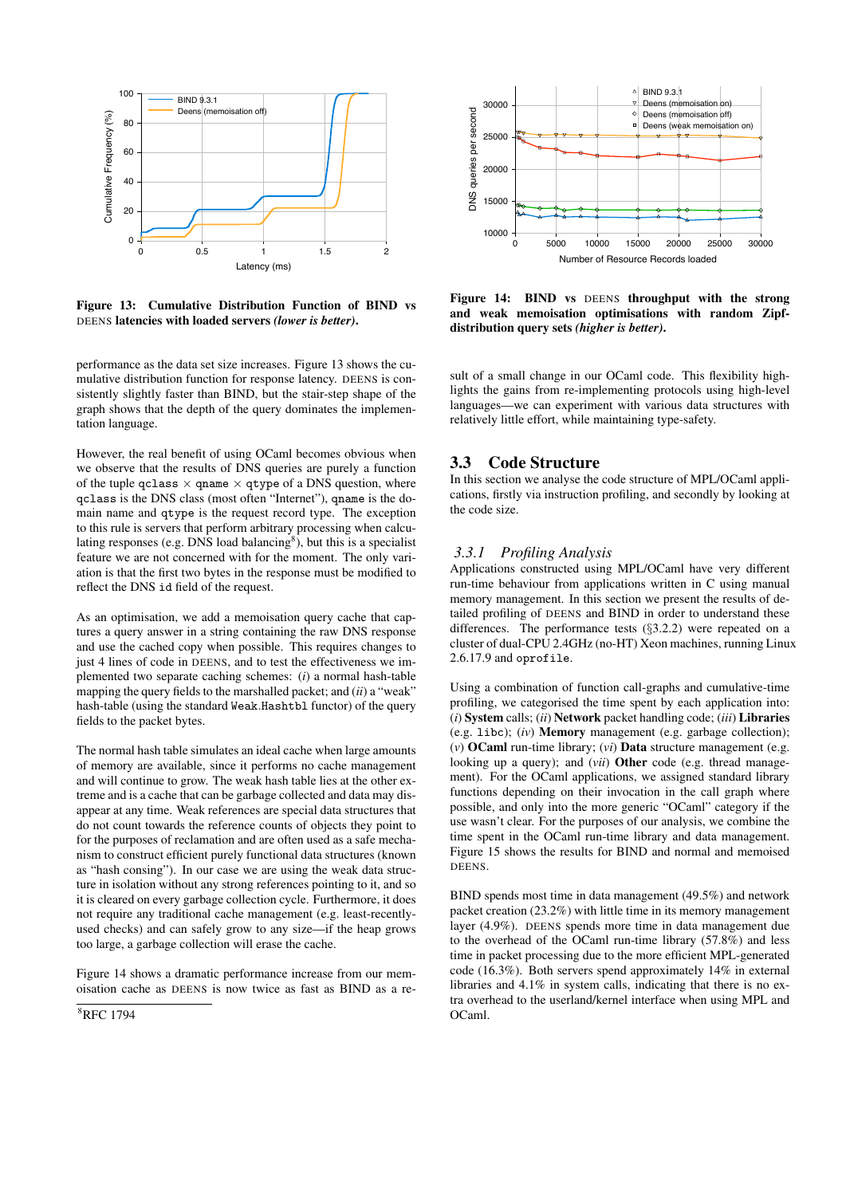

Figure 13: Cumulative Distribution Function of BIND vs DEENS latencies with loaded servers *(lower is better)*.

performance as the data set size increases. Figure 13 shows the cumulative distribution function for response latency. DEENS is consistently slightly faster than BIND, but the stair-step shape of the graph shows that the depth of the query dominates the implementation language.

However, the real benefit of using OCaml becomes obvious when we observe that the results of DNS queries are purely a function of the tuple qclass  $\times$  qname  $\times$  qtype of a DNS question, where qclass is the DNS class (most often "Internet"), qname is the domain name and qtype is the request record type. The exception to this rule is servers that perform arbitrary processing when calculating responses (e.g. DNS load balancing<sup>8</sup>), but this is a specialist feature we are not concerned with for the moment. The only variation is that the first two bytes in the response must be modified to reflect the DNS id field of the request.

As an optimisation, we add a memoisation query cache that captures a query answer in a string containing the raw DNS response and use the cached copy when possible. This requires changes to just 4 lines of code in DEENS, and to test the effectiveness we implemented two separate caching schemes: (*i*) a normal hash-table mapping the query fields to the marshalled packet; and (*ii*) a "weak" hash-table (using the standard Weak.Hashtbl functor) of the query fields to the packet bytes.

The normal hash table simulates an ideal cache when large amounts of memory are available, since it performs no cache management and will continue to grow. The weak hash table lies at the other extreme and is a cache that can be garbage collected and data may disappear at any time. Weak references are special data structures that do not count towards the reference counts of objects they point to for the purposes of reclamation and are often used as a safe mechanism to construct efficient purely functional data structures (known as "hash consing"). In our case we are using the weak data structure in isolation without any strong references pointing to it, and so it is cleared on every garbage collection cycle. Furthermore, it does not require any traditional cache management (e.g. least-recentlyused checks) and can safely grow to any size—if the heap grows too large, a garbage collection will erase the cache.

Figure 14 shows a dramatic performance increase from our memoisation cache as DEENS is now twice as fast as BIND as a re-





Figure 14: BIND vs DEENS throughput with the strong and weak memoisation optimisations with random Zipfdistribution query sets *(higher is better)*.

sult of a small change in our OCaml code. This flexibility highlights the gains from re-implementing protocols using high-level languages—we can experiment with various data structures with relatively little effort, while maintaining type-safety.

# 3.3 Code Structure

In this section we analyse the code structure of MPL/OCaml applications, firstly via instruction profiling, and secondly by looking at the code size.

#### *3.3.1 Profiling Analysis*

Applications constructed using MPL/OCaml have very different run-time behaviour from applications written in C using manual memory management. In this section we present the results of detailed profiling of DEENS and BIND in order to understand these differences. The performance tests (§[3.2.2\)](#page-7-2) were repeated on a cluster of dual-CPU 2.4GHz (no-HT) Xeon machines, running Linux 2.6.17.9 and oprofile.

Using a combination of function call-graphs and cumulative-time profiling, we categorised the time spent by each application into: (*i*) System calls; (*ii*) Network packet handling code; (*iii*) Libraries (e.g. libc); (*iv*) Memory management (e.g. garbage collection); (*v*) OCaml run-time library; (*vi*) Data structure management (e.g. looking up a query); and (*vii*) Other code (e.g. thread management). For the OCaml applications, we assigned standard library functions depending on their invocation in the call graph where possible, and only into the more generic "OCaml" category if the use wasn't clear. For the purposes of our analysis, we combine the time spent in the OCaml run-time library and data management. Figure [15](#page-9-0) shows the results for BIND and normal and memoised DEENS.

BIND spends most time in data management (49.5%) and network packet creation (23.2%) with little time in its memory management layer (4.9%). DEENS spends more time in data management due to the overhead of the OCaml run-time library (57.8%) and less time in packet processing due to the more efficient MPL-generated code (16.3%). Both servers spend approximately 14% in external libraries and 4.1% in system calls, indicating that there is no extra overhead to the userland/kernel interface when using MPL and OCaml.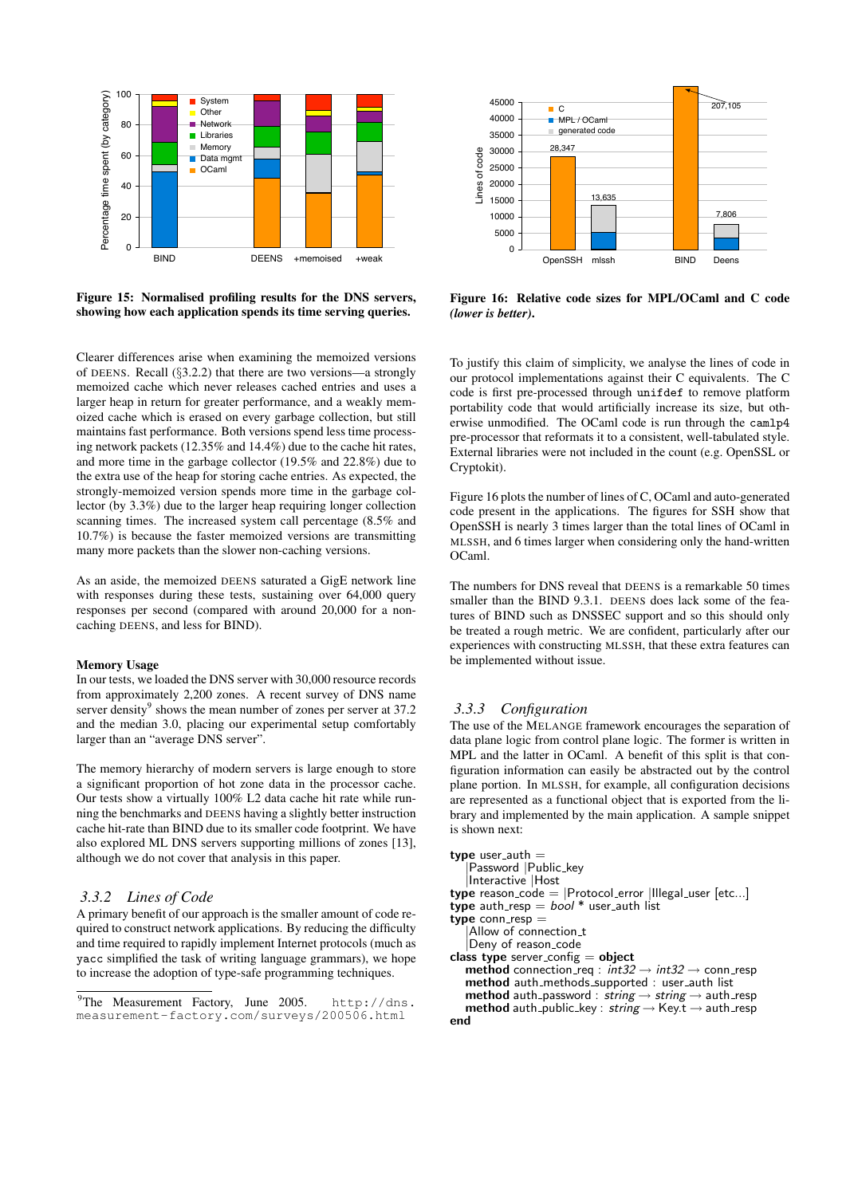

<span id="page-9-0"></span>Figure 15: Normalised profiling results for the DNS servers, showing how each application spends its time serving queries.

Clearer differences arise when examining the memoized versions of DEENS. Recall  $(\S$ [3.2.2\)](#page-7-2) that there are two versions—a strongly memoized cache which never releases cached entries and uses a larger heap in return for greater performance, and a weakly memoized cache which is erased on every garbage collection, but still maintains fast performance. Both versions spend less time processing network packets (12.35% and 14.4%) due to the cache hit rates, and more time in the garbage collector (19.5% and 22.8%) due to the extra use of the heap for storing cache entries. As expected, the strongly-memoized version spends more time in the garbage collector (by 3.3%) due to the larger heap requiring longer collection scanning times. The increased system call percentage (8.5% and 10.7%) is because the faster memoized versions are transmitting many more packets than the slower non-caching versions.

As an aside, the memoized DEENS saturated a GigE network line with responses during these tests, sustaining over 64,000 query responses per second (compared with around 20,000 for a noncaching DEENS, and less for BIND).

#### Memory Usage

In our tests, we loaded the DNS server with 30,000 resource records from approximately 2,200 zones. A recent survey of DNS name server density<sup>9</sup> shows the mean number of zones per server at 37.2 and the median 3.0, placing our experimental setup comfortably larger than an "average DNS server".

The memory hierarchy of modern servers is large enough to store a significant proportion of hot zone data in the processor cache. Our tests show a virtually 100% L2 data cache hit rate while running the benchmarks and DEENS having a slightly better instruction cache hit-rate than BIND due to its smaller code footprint. We have also explored ML DNS servers supporting millions of zones [\[13\]](#page-12-13), although we do not cover that analysis in this paper.

#### *3.3.2 Lines of Code*

A primary benefit of our approach is the smaller amount of code required to construct network applications. By reducing the difficulty and time required to rapidly implement Internet protocols (much as yacc simplified the task of writing language grammars), we hope to increase the adoption of type-safe programming techniques.



Figure 16: Relative code sizes for MPL/OCaml and C code *(lower is better)*.

To justify this claim of simplicity, we analyse the lines of code in our protocol implementations against their C equivalents. The C code is first pre-processed through unifdef to remove platform portability code that would artificially increase its size, but otherwise unmodified. The OCaml code is run through the camlp4 pre-processor that reformats it to a consistent, well-tabulated style. External libraries were not included in the count (e.g. OpenSSL or Cryptokit).

Figure 16 plots the number of lines of C, OCaml and auto-generated code present in the applications. The figures for SSH show that OpenSSH is nearly 3 times larger than the total lines of OCaml in MLSSH, and 6 times larger when considering only the hand-written OCaml.

The numbers for DNS reveal that DEENS is a remarkable 50 times smaller than the BIND 9.3.1. DEENS does lack some of the features of BIND such as DNSSEC support and so this should only be treated a rough metric. We are confident, particularly after our experiences with constructing MLSSH, that these extra features can be implemented without issue.

#### *3.3.3 Configuration*

The use of the MELANGE framework encourages the separation of data plane logic from control plane logic. The former is written in MPL and the latter in OCaml. A benefit of this split is that configuration information can easily be abstracted out by the control plane portion. In MLSSH, for example, all configuration decisions are represented as a functional object that is exported from the library and implemented by the main application. A sample snippet is shown next:

| type user_auth $=$<br>Password   Public_key<br>Interactive   Host                                                                                                                                                                                                                                                                                                                                                       |
|-------------------------------------------------------------------------------------------------------------------------------------------------------------------------------------------------------------------------------------------------------------------------------------------------------------------------------------------------------------------------------------------------------------------------|
| <b>type</b> reason_code = $ $ Protocol_error $ $ Illegal_user $[$ etc $]$<br><b>type</b> auth_resp = $bool *$ user_auth list                                                                                                                                                                                                                                                                                            |
| type conn_resp $=$<br>Allow of connection_t<br>Deny of reason_code<br>class type server_config = $object$<br>method connection_req : $int32 \rightarrow int32 \rightarrow$ conn_resp<br>method auth_methods_supported : user_auth list<br><b>method</b> auth_password : string $\rightarrow$ string $\rightarrow$ auth_resp<br><b>method</b> auth_public_key: $string \rightarrow$ Key t $\rightarrow$ auth_resp<br>end |

<sup>&</sup>lt;sup>9</sup>The Measurement Factory, June 2005. [http://dns.](http://dns.measurement-factory.com/surveys/200506.html) [measurement-factory.com/surveys/200506.html](http://dns.measurement-factory.com/surveys/200506.html)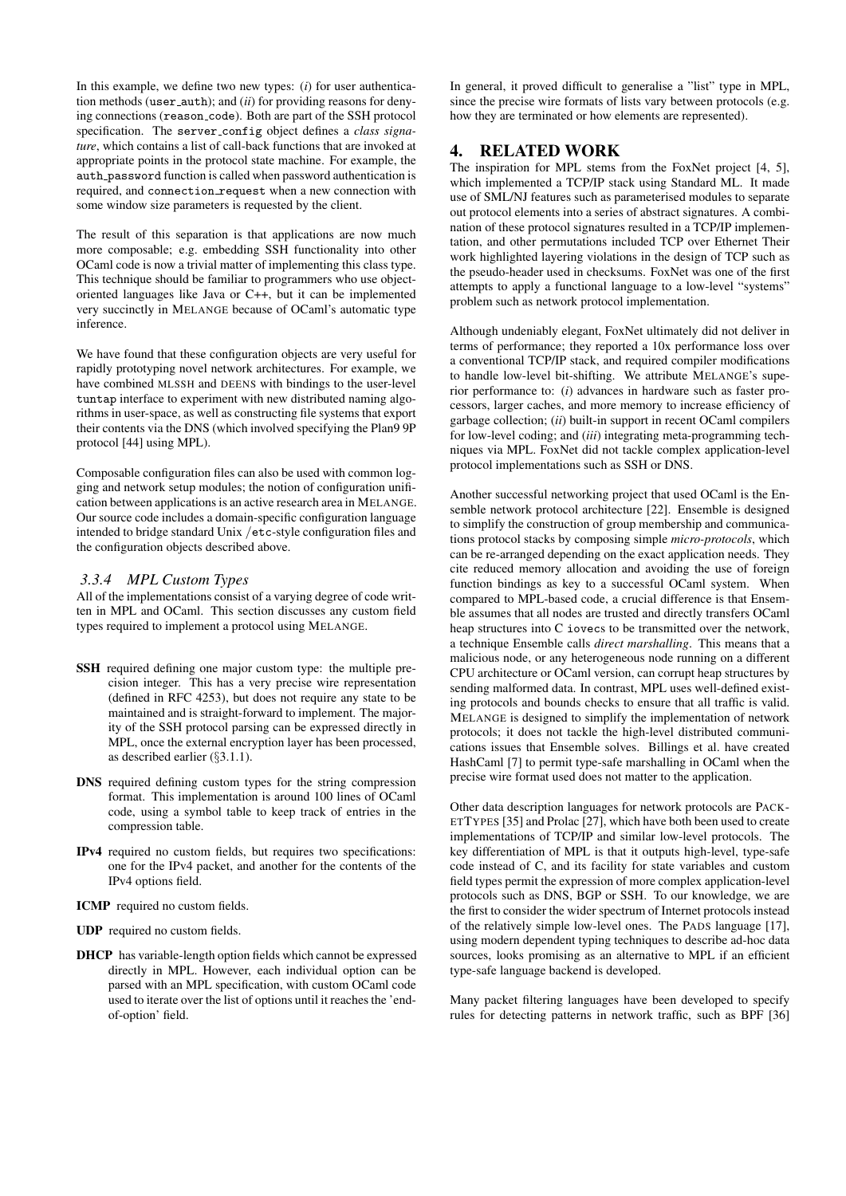In this example, we define two new types: (*i*) for user authentication methods (user auth); and (*ii*) for providing reasons for denying connections (reason code). Both are part of the SSH protocol specification. The server config object defines a *class signature*, which contains a list of call-back functions that are invoked at appropriate points in the protocol state machine. For example, the auth password function is called when password authentication is required, and connection request when a new connection with some window size parameters is requested by the client.

The result of this separation is that applications are now much more composable; e.g. embedding SSH functionality into other OCaml code is now a trivial matter of implementing this class type. This technique should be familiar to programmers who use objectoriented languages like Java or C++, but it can be implemented very succinctly in MELANGE because of OCaml's automatic type inference.

We have found that these configuration objects are very useful for rapidly prototyping novel network architectures. For example, we have combined MLSSH and DEENS with bindings to the user-level tuntap interface to experiment with new distributed naming algorithms in user-space, as well as constructing file systems that export their contents via the DNS (which involved specifying the Plan9 9P protocol [\[44\]](#page-13-7) using MPL).

Composable configuration files can also be used with common logging and network setup modules; the notion of configuration unification between applicationsis an active research area in MELANGE. Our source code includes a domain-specific configuration language intended to bridge standard Unix /etc-style configuration files and the configuration objects described above.

## *3.3.4 MPL Custom Types*

All of the implementations consist of a varying degree of code written in MPL and OCaml. This section discusses any custom field types required to implement a protocol using MELANGE.

- SSH required defining one major custom type: the multiple precision integer. This has a very precise wire representation (defined in RFC 4253), but does not require any state to be maintained and is straight-forward to implement. The majority of the SSH protocol parsing can be expressed directly in MPL, once the external encryption layer has been processed, as described earlier (§[3.1.1\)](#page-5-1).
- DNS required defining custom types for the string compression format. This implementation is around 100 lines of OCaml code, using a symbol table to keep track of entries in the compression table.
- IPv4 required no custom fields, but requires two specifications: one for the IPv4 packet, and another for the contents of the IPv4 options field.
- ICMP required no custom fields.
- UDP required no custom fields.
- DHCP has variable-length option fields which cannot be expressed directly in MPL. However, each individual option can be parsed with an MPL specification, with custom OCaml code used to iterate over the list of options until it reaches the 'endof-option' field.

In general, it proved difficult to generalise a "list" type in MPL, since the precise wire formats of lists vary between protocols (e.g. how they are terminated or how elements are represented).

# <span id="page-10-0"></span>4. RELATED WORK

The inspiration for MPL stems from the FoxNet project [\[4,](#page-11-0) [5\]](#page-12-0), which implemented a TCP/IP stack using Standard ML. It made use of SML/NJ features such as parameterised modules to separate out protocol elements into a series of abstract signatures. A combination of these protocol signatures resulted in a TCP/IP implementation, and other permutations included TCP over Ethernet Their work highlighted layering violations in the design of TCP such as the pseudo-header used in checksums. FoxNet was one of the first attempts to apply a functional language to a low-level "systems" problem such as network protocol implementation.

Although undeniably elegant, FoxNet ultimately did not deliver in terms of performance; they reported a 10x performance loss over a conventional TCP/IP stack, and required compiler modifications to handle low-level bit-shifting. We attribute MELANGE's superior performance to: (*i*) advances in hardware such as faster processors, larger caches, and more memory to increase efficiency of garbage collection; (*ii*) built-in support in recent OCaml compilers for low-level coding; and (*iii*) integrating meta-programming techniques via MPL. FoxNet did not tackle complex application-level protocol implementations such as SSH or DNS.

Another successful networking project that used OCaml is the Ensemble network protocol architecture [\[22\]](#page-12-2). Ensemble is designed to simplify the construction of group membership and communications protocol stacks by composing simple *micro-protocols*, which can be re-arranged depending on the exact application needs. They cite reduced memory allocation and avoiding the use of foreign function bindings as key to a successful OCaml system. When compared to MPL-based code, a crucial difference is that Ensemble assumes that all nodes are trusted and directly transfers OCaml heap structures into C iovecs to be transmitted over the network, a technique Ensemble calls *direct marshalling*. This means that a malicious node, or any heterogeneous node running on a different CPU architecture or OCaml version, can corrupt heap structures by sending malformed data. In contrast, MPL uses well-defined existing protocols and bounds checks to ensure that all traffic is valid. MELANGE is designed to simplify the implementation of network protocols; it does not tackle the high-level distributed communications issues that Ensemble solves. Billings et al. have created HashCaml [\[7\]](#page-12-14) to permit type-safe marshalling in OCaml when the precise wire format used does not matter to the application.

Other data description languages for network protocols are PACK-ETTYPES [\[35\]](#page-12-15) and Prolac [\[27\]](#page-12-16), which have both been used to create implementations of TCP/IP and similar low-level protocols. The key differentiation of MPL is that it outputs high-level, type-safe code instead of C, and its facility for state variables and custom field types permit the expression of more complex application-level protocols such as DNS, BGP or SSH. To our knowledge, we are the first to consider the wider spectrum of Internet protocols instead of the relatively simple low-level ones. The PADS language [\[17\]](#page-12-17), using modern dependent typing techniques to describe ad-hoc data sources, looks promising as an alternative to MPL if an efficient type-safe language backend is developed.

Many packet filtering languages have been developed to specify rules for detecting patterns in network traffic, such as BPF [\[36\]](#page-12-18)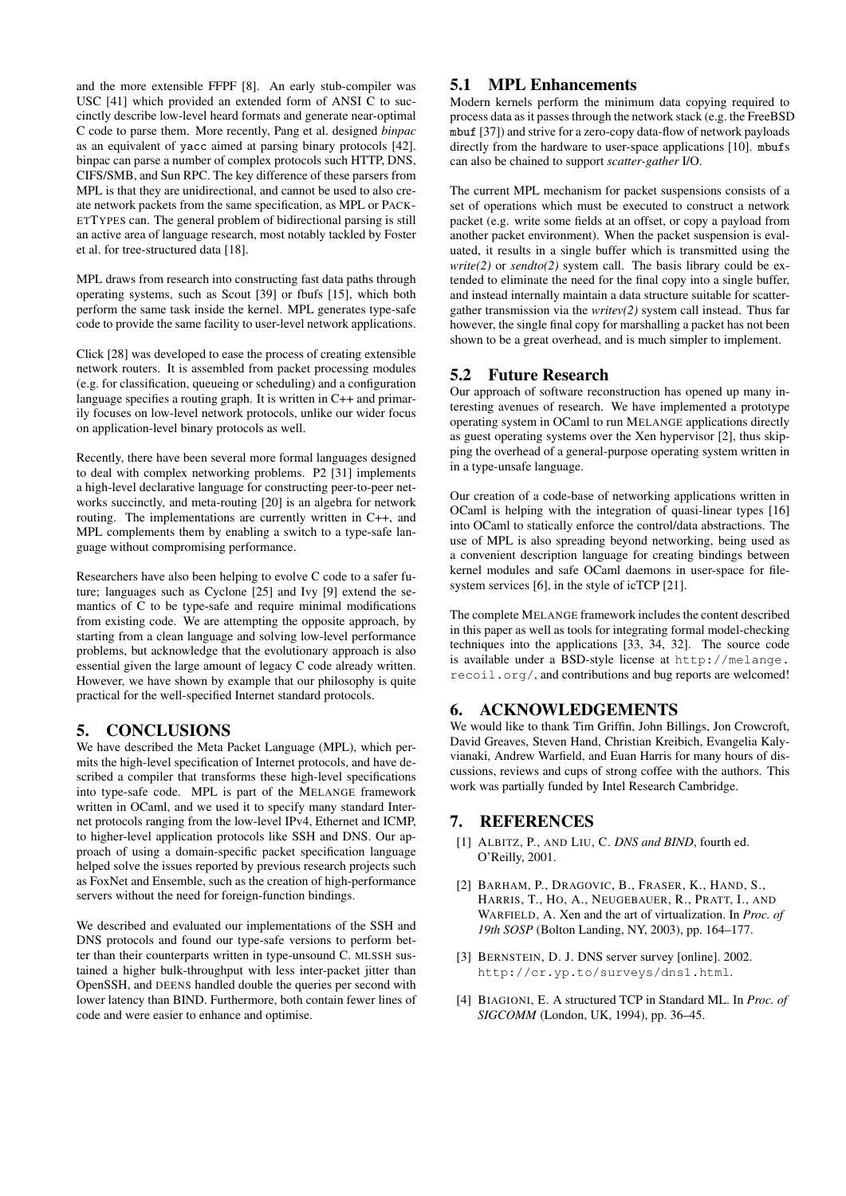and the more extensible FFPF [\[8\]](#page-12-19). An early stub-compiler was USC [\[41\]](#page-13-8) which provided an extended form of ANSI C to succinctly describe low-level heard formats and generate near-optimal C code to parse them. More recently, Pang et al. designed *binpac* as an equivalent of yacc aimed at parsing binary protocols [\[42\]](#page-13-9). binpac can parse a number of complex protocols such HTTP, DNS, CIFS/SMB, and Sun RPC. The key difference of these parsers from MPL is that they are unidirectional, and cannot be used to also create network packets from the same specification, as MPL or PACK-ETTYPES can. The general problem of bidirectional parsing is still an active area of language research, most notably tackled by Foster et al. for tree-structured data [\[18\]](#page-12-20).

MPL draws from research into constructing fast data paths through operating systems, such as Scout [\[39\]](#page-13-10) or fbufs [\[15\]](#page-12-21), which both perform the same task inside the kernel. MPL generates type-safe code to provide the same facility to user-level network applications.

Click [\[28\]](#page-12-22) was developed to ease the process of creating extensible network routers. It is assembled from packet processing modules (e.g. for classification, queueing or scheduling) and a configuration language specifies a routing graph. It is written in C++ and primarily focuses on low-level network protocols, unlike our wider focus on application-level binary protocols as well.

Recently, there have been several more formal languages designed to deal with complex networking problems. P2 [\[31\]](#page-12-23) implements a high-level declarative language for constructing peer-to-peer networks succinctly, and meta-routing [\[20\]](#page-12-24) is an algebra for network routing. The implementations are currently written in C++, and MPL complements them by enabling a switch to a type-safe language without compromising performance.

Researchers have also been helping to evolve C code to a safer future; languages such as Cyclone [\[25\]](#page-12-25) and Ivy [\[9\]](#page-12-26) extend the semantics of C to be type-safe and require minimal modifications from existing code. We are attempting the opposite approach, by starting from a clean language and solving low-level performance problems, but acknowledge that the evolutionary approach is also essential given the large amount of legacy C code already written. However, we have shown by example that our philosophy is quite practical for the well-specified Internet standard protocols.

# 5. CONCLUSIONS

We have described the Meta Packet Language (MPL), which permits the high-level specification of Internet protocols, and have described a compiler that transforms these high-level specifications into type-safe code. MPL is part of the MELANGE framework written in OCaml, and we used it to specify many standard Internet protocols ranging from the low-level IPv4, Ethernet and ICMP, to higher-level application protocols like SSH and DNS. Our approach of using a domain-specific packet specification language helped solve the issues reported by previous research projects such as FoxNet and Ensemble, such as the creation of high-performance servers without the need for foreign-function bindings.

We described and evaluated our implementations of the SSH and DNS protocols and found our type-safe versions to perform better than their counterparts written in type-unsound C. MLSSH sustained a higher bulk-throughput with less inter-packet jitter than OpenSSH, and DEENS handled double the queries per second with lower latency than BIND. Furthermore, both contain fewer lines of code and were easier to enhance and optimise.

# 5.1 MPL Enhancements

Modern kernels perform the minimum data copying required to process data as it passes through the network stack (e.g. the FreeBSD mbuf [\[37\]](#page-13-11)) and strive for a zero-copy data-flow of network payloads directly from the hardware to user-space applications [\[10\]](#page-12-27). mbufs can also be chained to support *scatter-gather* I/O.

The current MPL mechanism for packet suspensions consists of a set of operations which must be executed to construct a network packet (e.g. write some fields at an offset, or copy a payload from another packet environment). When the packet suspension is evaluated, it results in a single buffer which is transmitted using the *write(2)* or *sendto(2)* system call. The basis library could be extended to eliminate the need for the final copy into a single buffer, and instead internally maintain a data structure suitable for scattergather transmission via the *writev(2)* system call instead. Thus far however, the single final copy for marshalling a packet has not been shown to be a great overhead, and is much simpler to implement.

# 5.2 Future Research

Our approach of software reconstruction has opened up many interesting avenues of research. We have implemented a prototype operating system in OCaml to run MELANGE applications directly as guest operating systems over the Xen hypervisor [2], thus skipping the overhead of a general-purpose operating system written in in a type-unsafe language.

Our creation of a code-base of networking applications written in OCaml is helping with the integration of quasi-linear types [\[16\]](#page-12-28) into OCaml to statically enforce the control/data abstractions. The use of MPL is also spreading beyond networking, being used as a convenient description language for creating bindings between kernel modules and safe OCaml daemons in user-space for filesystem services [\[6\]](#page-12-29), in the style of icTCP [\[21\]](#page-12-30).

The complete MELANGE framework includes the content described in this paper as well as tools for integrating formal model-checking techniques into the applications [\[33,](#page-12-10) [34,](#page-12-31) [32\]](#page-12-8). The source code is available under a BSD-style license at [http://melange.](http://melange.recoil.org/) [recoil.org/](http://melange.recoil.org/), and contributions and bug reports are welcomed!

# 6. ACKNOWLEDGEMENTS

We would like to thank Tim Griffin, John Billings, Jon Crowcroft, David Greaves, Steven Hand, Christian Kreibich, Evangelia Kalyvianaki, Andrew Warfield, and Euan Harris for many hours of discussions, reviews and cups of strong coffee with the authors. This work was partially funded by Intel Research Cambridge.

# <span id="page-11-1"></span>7. REFERENCES

- [1] ALBITZ, P., AND LIU, C. *DNS and BIND*, fourth ed. O'Reilly, 2001.
- [2] BARHAM, P., DRAGOVIC, B., FRASER, K., HAND, S., HARRIS, T., HO, A., NEUGEBAUER, R., PRATT, I., AND WARFIELD, A. Xen and the art of virtualization. In *Proc. of 19th SOSP* (Bolton Landing, NY, 2003), pp. 164–177.
- <span id="page-11-2"></span>[3] BERNSTEIN, D. J. DNS server survey [online]. 2002. <http://cr.yp.to/surveys/dns1.html>.
- <span id="page-11-0"></span>[4] BIAGIONI, E. A structured TCP in Standard ML. In *Proc. of SIGCOMM* (London, UK, 1994), pp. 36–45.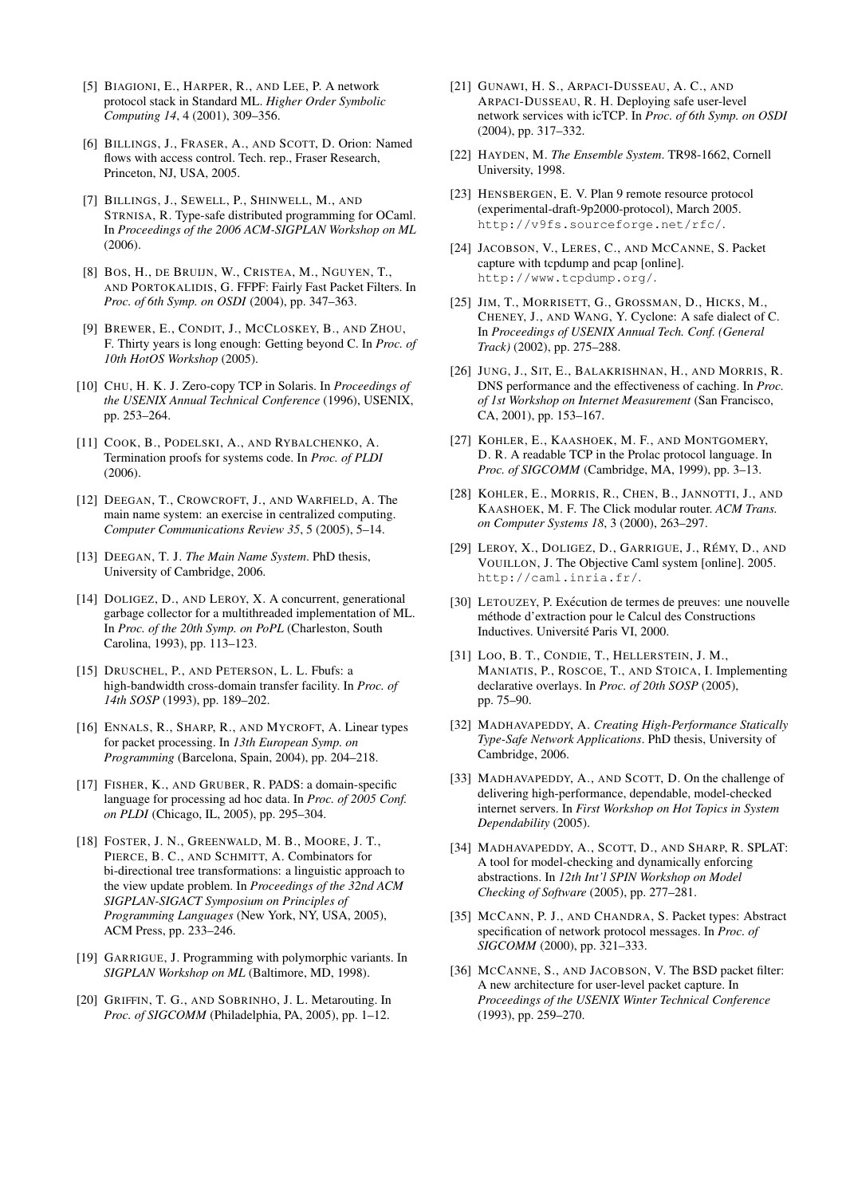- <span id="page-12-0"></span>[5] BIAGIONI, E., HARPER, R., AND LEE, P. A network protocol stack in Standard ML. *Higher Order Symbolic Computing 14*, 4 (2001), 309–356.
- <span id="page-12-29"></span>[6] BILLINGS, J., FRASER, A., AND SCOTT, D. Orion: Named flows with access control. Tech. rep., Fraser Research, Princeton, NJ, USA, 2005.
- <span id="page-12-14"></span>[7] BILLINGS, J., SEWELL, P., SHINWELL, M., AND STRNISA, R. Type-safe distributed programming for OCaml. In *Proceedings of the 2006 ACM-SIGPLAN Workshop on ML* (2006).
- <span id="page-12-19"></span>[8] BOS, H., DE BRUIJN, W., CRISTEA, M., NGUYEN, T., AND PORTOKALIDIS, G. FFPF: Fairly Fast Packet Filters. In *Proc. of 6th Symp. on OSDI* (2004), pp. 347–363.
- <span id="page-12-26"></span>[9] BREWER, E., CONDIT, J., MCCLOSKEY, B., AND ZHOU, F. Thirty years is long enough: Getting beyond C. In *Proc. of 10th HotOS Workshop* (2005).
- <span id="page-12-27"></span>[10] CHU, H. K. J. Zero-copy TCP in Solaris. In *Proceedings of the USENIX Annual Technical Conference* (1996), USENIX, pp. 253–264.
- <span id="page-12-3"></span>[11] COOK, B., PODELSKI, A., AND RYBALCHENKO, A. Termination proofs for systems code. In *Proc. of PLDI* (2006).
- <span id="page-12-11"></span>[12] DEEGAN, T., CROWCROFT, J., AND WARFIELD, A. The main name system: an exercise in centralized computing. *Computer Communications Review 35*, 5 (2005), 5–14.
- <span id="page-12-13"></span>[13] DEEGAN, T. J. *The Main Name System*. PhD thesis, University of Cambridge, 2006.
- <span id="page-12-4"></span>[14] DOLIGEZ, D., AND LEROY, X. A concurrent, generational garbage collector for a multithreaded implementation of ML. In *Proc. of the 20th Symp. on PoPL* (Charleston, South Carolina, 1993), pp. 113–123.
- <span id="page-12-21"></span>[15] DRUSCHEL, P., AND PETERSON, L. L. Fbufs: a high-bandwidth cross-domain transfer facility. In *Proc. of 14th SOSP* (1993), pp. 189–202.
- <span id="page-12-28"></span>[16] ENNALS, R., SHARP, R., AND MYCROFT, A. Linear types for packet processing. In *13th European Symp. on Programming* (Barcelona, Spain, 2004), pp. 204–218.
- <span id="page-12-17"></span>[17] FISHER, K., AND GRUBER, R. PADS: a domain-specific language for processing ad hoc data. In *Proc. of 2005 Conf. on PLDI* (Chicago, IL, 2005), pp. 295–304.
- <span id="page-12-20"></span>[18] FOSTER, J. N., GREENWALD, M. B., MOORE, J. T., PIERCE, B. C., AND SCHMITT, A. Combinators for bi-directional tree transformations: a linguistic approach to the view update problem. In *Proceedings of the 32nd ACM SIGPLAN-SIGACT Symposium on Principles of Programming Languages* (New York, NY, USA, 2005), ACM Press, pp. 233–246.
- <span id="page-12-5"></span>[19] GARRIGUE, J. Programming with polymorphic variants. In *SIGPLAN Workshop on ML* (Baltimore, MD, 1998).
- <span id="page-12-24"></span>[20] GRIFFIN, T. G., AND SOBRINHO, J. L. Metarouting. In *Proc. of SIGCOMM* (Philadelphia, PA, 2005), pp. 1–12.
- <span id="page-12-30"></span>[21] GUNAWI, H. S., ARPACI-DUSSEAU, A. C., AND ARPACI-DUSSEAU, R. H. Deploying safe user-level network services with icTCP. In *Proc. of 6th Symp. on OSDI* (2004), pp. 317–332.
- <span id="page-12-2"></span>[22] HAYDEN, M. *The Ensemble System*. TR98-1662, Cornell University, 1998.
- <span id="page-12-7"></span>[23] HENSBERGEN, E. V. Plan 9 remote resource protocol (experimental-draft-9p2000-protocol), March 2005. <http://v9fs.sourceforge.net/rfc/>.
- <span id="page-12-6"></span>[24] JACOBSON, V., LERES, C., AND MCCANNE, S. Packet capture with tcpdump and pcap [online]. <http://www.tcpdump.org/>.
- <span id="page-12-25"></span>[25] JIM, T., MORRISETT, G., GROSSMAN, D., HICKS, M., CHENEY, J., AND WANG, Y. Cyclone: A safe dialect of C. In *Proceedings of USENIX Annual Tech. Conf. (General Track)* (2002), pp. 275–288.
- <span id="page-12-12"></span>[26] JUNG, J., SIT, E., BALAKRISHNAN, H., AND MORRIS, R. DNS performance and the effectiveness of caching. In *Proc. of 1st Workshop on Internet Measurement* (San Francisco, CA, 2001), pp. 153–167.
- <span id="page-12-16"></span>[27] KOHLER, E., KAASHOEK, M. F., AND MONTGOMERY, D. R. A readable TCP in the Prolac protocol language. In *Proc. of SIGCOMM* (Cambridge, MA, 1999), pp. 3–13.
- <span id="page-12-22"></span>[28] KOHLER, E., MORRIS, R., CHEN, B., JANNOTTI, J., AND KAASHOEK, M. F. The Click modular router. *ACM Trans. on Computer Systems 18*, 3 (2000), 263–297.
- <span id="page-12-1"></span>[29] LEROY, X., DOLIGEZ, D., GARRIGUE, J., RÉMY, D., AND VOUILLON, J. The Objective Caml system [online]. 2005. <http://caml.inria.fr/>.
- <span id="page-12-9"></span>[30] LETOUZEY, P. Exécution de termes de preuves: une nouvelle méthode d'extraction pour le Calcul des Constructions Inductives. Université Paris VI, 2000.
- <span id="page-12-23"></span>[31] LOO, B. T., CONDIE, T., HELLERSTEIN, J. M., MANIATIS, P., ROSCOE, T., AND STOICA, I. Implementing declarative overlays. In *Proc. of 20th SOSP* (2005), pp. 75–90.
- <span id="page-12-8"></span>[32] MADHAVAPEDDY, A. *Creating High-Performance Statically Type-Safe Network Applications*. PhD thesis, University of Cambridge, 2006.
- <span id="page-12-10"></span>[33] MADHAVAPEDDY, A., AND SCOTT, D. On the challenge of delivering high-performance, dependable, model-checked internet servers. In *First Workshop on Hot Topics in System Dependability* (2005).
- <span id="page-12-31"></span>[34] MADHAVAPEDDY, A., SCOTT, D., AND SHARP, R. SPLAT: A tool for model-checking and dynamically enforcing abstractions. In *12th Int'l SPIN Workshop on Model Checking of Software* (2005), pp. 277–281.
- <span id="page-12-15"></span>[35] MCCANN, P. J., AND CHANDRA, S. Packet types: Abstract specification of network protocol messages. In *Proc. of SIGCOMM* (2000), pp. 321–333.
- <span id="page-12-18"></span>[36] MCCANNE, S., AND JACOBSON, V. The BSD packet filter: A new architecture for user-level packet capture. In *Proceedings of the USENIX Winter Technical Conference* (1993), pp. 259–270.